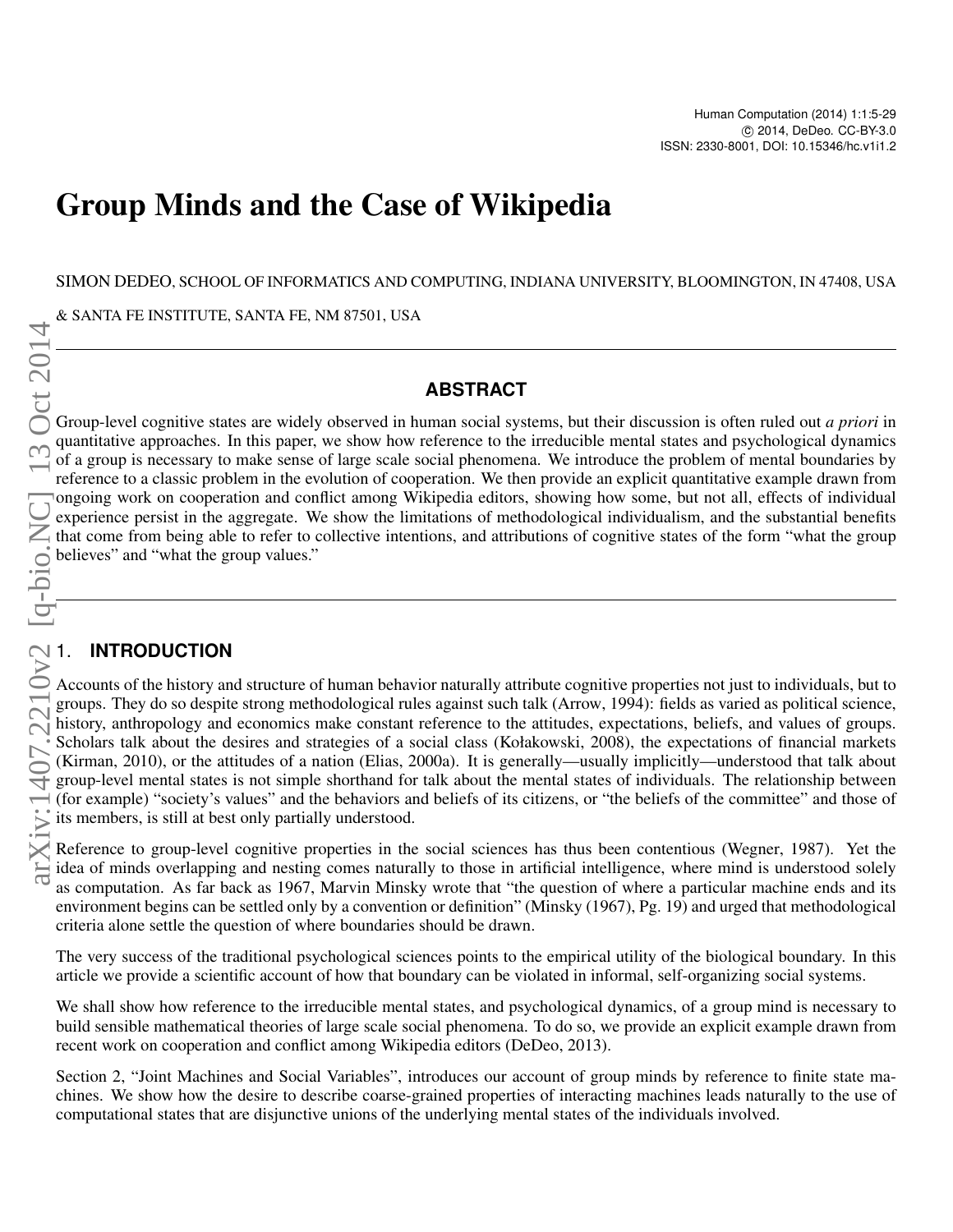# Group Minds and the Case of Wikipedia

SIMON DEDEO, SCHOOL OF INFORMATICS AND COMPUTING, INDIANA UNIVERSITY, BLOOMINGTON, IN 47408, USA

& SANTA FE INSTITUTE, SANTA FE, NM 87501, USA

#### **ABSTRACT**

Group-level cognitive states are widely observed in human social systems, but their discussion is often ruled out *a priori* in quantitative approaches. In this paper, we show how reference to the irreducible mental states and psychological dynamics of a group is necessary to make sense of large scale social phenomena. We introduce the problem of mental boundaries by reference to a classic problem in the evolution of cooperation. We then provide an explicit quantitative example drawn from ongoing work on cooperation and conflict among Wikipedia editors, showing how some, but not all, effects of individual experience persist in the aggregate. We show the limitations of methodological individualism, and the substantial benefits that come from being able to refer to collective intentions, and attributions of cognitive states of the form "what the group believes" and "what the group values."

#### 1. **INTRODUCTION**

Accounts of the history and structure of human behavior naturally attribute cognitive properties not just to individuals, but to groups. They do so despite strong methodological rules against such talk [\(Arrow, 1994\)](#page-15-0): fields as varied as political science, history, anthropology and economics make constant reference to the attitudes, expectations, beliefs, and values of groups. Scholars talk about the desires and strategies of a social class [\(Kołakowski, 2008\)](#page-16-0), the expectations of financial markets [\(Kirman, 2010\)](#page-15-1), or the attitudes of a nation [\(Elias, 2000a\)](#page-15-2). It is generally—usually implicitly—understood that talk about group-level mental states is not simple shorthand for talk about the mental states of individuals. The relationship between (for example) "society's values" and the behaviors and beliefs of its citizens, or "the beliefs of the committee" and those of its members, is still at best only partially understood. **Computer of the unions of the unions of the union states that are disjunctive unions of the unions of the unions of the unions of the unions of the unions of the unions of the unions of the unions of the unions of the un** 

Reference to group-level cognitive properties in the social sciences has thus been contentious [\(Wegner, 1987\)](#page-16-1). Yet the idea of minds overlapping and nesting comes naturally to those in artificial intelligence, where mind is understood solely as computation. As far back as 1967, Marvin Minsky wrote that "the question of where a particular machine ends and its environment begins can be settled only by a convention or definition" [\(Minsky](#page-16-2) [\(1967\)](#page-16-2), Pg. 19) and urged that methodological criteria alone settle the question of where boundaries should be drawn.

The very success of the traditional psychological sciences points to the empirical utility of the biological boundary. In this article we provide a scientific account of how that boundary can be violated in informal, self-organizing social systems.

We shall show how reference to the irreducible mental states, and psychological dynamics, of a group mind is necessary to build sensible mathematical theories of large scale social phenomena. To do so, we provide an explicit example drawn from recent work on cooperation and conflict among Wikipedia editors [\(DeDeo, 2013\)](#page-15-3).

Section [2,](#page-1-0) "Joint Machines and Social Variables", introduces our account of group minds by reference to finite state machines. We show how the desire to describe coarse-grained properties of interacting machines leads naturally to the use of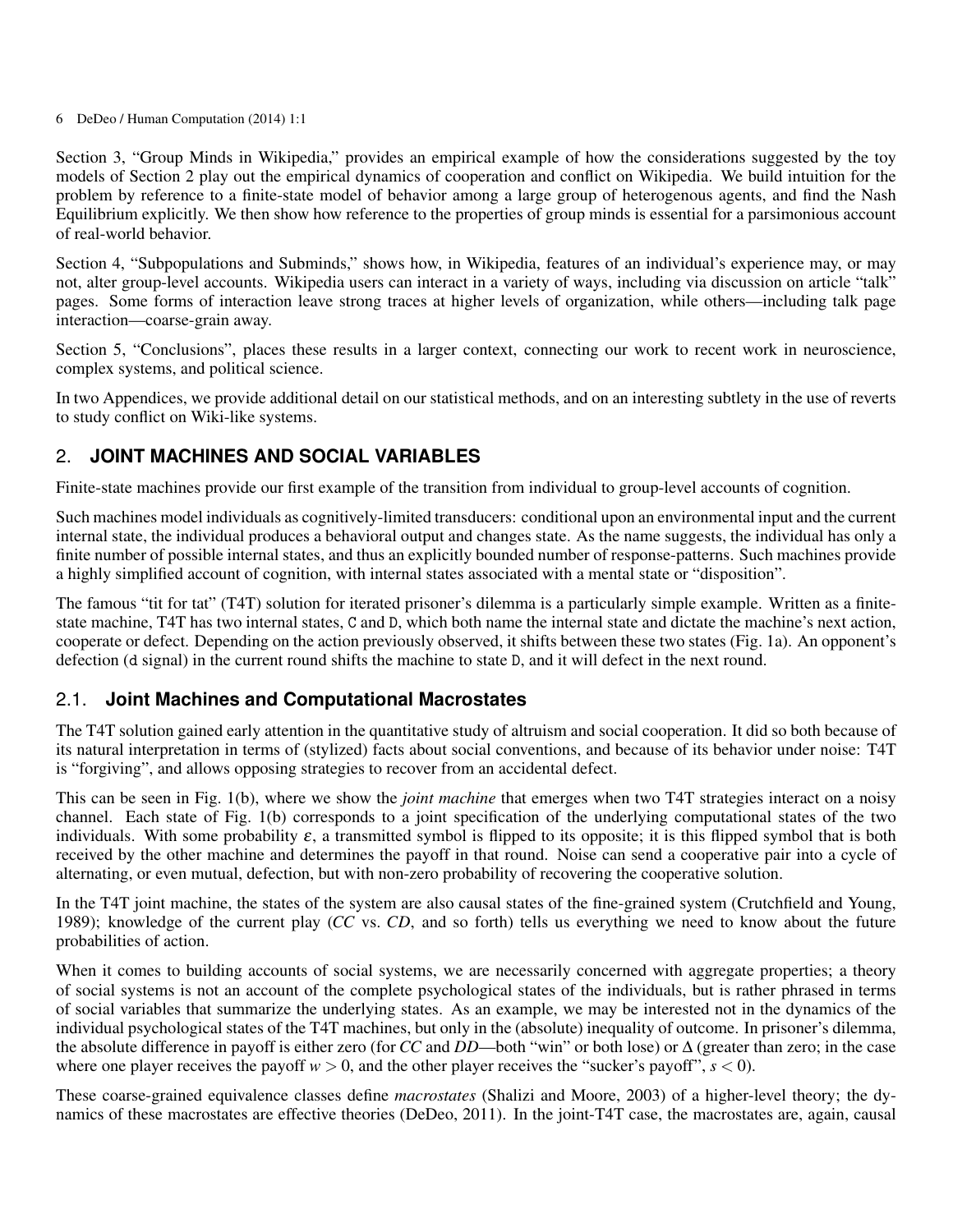Section [3,](#page-3-0) "Group Minds in Wikipedia," provides an empirical example of how the considerations suggested by the toy models of Section [2](#page-1-0) play out the empirical dynamics of cooperation and conflict on Wikipedia. We build intuition for the problem by reference to a finite-state model of behavior among a large group of heterogenous agents, and find the Nash Equilibrium explicitly. We then show how reference to the properties of group minds is essential for a parsimonious account of real-world behavior.

Section [4,](#page-9-0) "Subpopulations and Subminds," shows how, in Wikipedia, features of an individual's experience may, or may not, alter group-level accounts. Wikipedia users can interact in a variety of ways, including via discussion on article "talk" pages. Some forms of interaction leave strong traces at higher levels of organization, while others—including talk page interaction—coarse-grain away.

Section [5,](#page-11-0) "Conclusions", places these results in a larger context, connecting our work to recent work in neuroscience, complex systems, and political science.

In two Appendices, we provide additional detail on our statistical methods, and on an interesting subtlety in the use of reverts to study conflict on Wiki-like systems.

# <span id="page-1-0"></span>2. **JOINT MACHINES AND SOCIAL VARIABLES**

Finite-state machines provide our first example of the transition from individual to group-level accounts of cognition.

Such machines model individuals as cognitively-limited transducers: conditional upon an environmental input and the current internal state, the individual produces a behavioral output and changes state. As the name suggests, the individual has only a finite number of possible internal states, and thus an explicitly bounded number of response-patterns. Such machines provide a highly simplified account of cognition, with internal states associated with a mental state or "disposition".

The famous "tit for tat" (T4T) solution for iterated prisoner's dilemma is a particularly simple example. Written as a finitestate machine, T4T has two internal states, C and D, which both name the internal state and dictate the machine's next action, cooperate or defect. Depending on the action previously observed, it shifts between these two states (Fig. [1a](#page-2-0)). An opponent's defection (d signal) in the current round shifts the machine to state D, and it will defect in the next round.

# 2.1. **Joint Machines and Computational Macrostates**

The T4T solution gained early attention in the quantitative study of altruism and social cooperation. It did so both because of its natural interpretation in terms of (stylized) facts about social conventions, and because of its behavior under noise: T4T is "forgiving", and allows opposing strategies to recover from an accidental defect.

This can be seen in Fig. [1\(](#page-2-0)b), where we show the *joint machine* that emerges when two T4T strategies interact on a noisy channel. Each state of Fig. [1\(](#page-2-0)b) corresponds to a joint specification of the underlying computational states of the two individuals. With some probability  $\varepsilon$ , a transmitted symbol is flipped to its opposite; it is this flipped symbol that is both received by the other machine and determines the payoff in that round. Noise can send a cooperative pair into a cycle of alternating, or even mutual, defection, but with non-zero probability of recovering the cooperative solution.

In the T4T joint machine, the states of the system are also causal states of the fine-grained system [\(Crutchfield and Young,](#page-15-4) [1989\)](#page-15-4); knowledge of the current play (*CC* vs. *CD*, and so forth) tells us everything we need to know about the future probabilities of action.

When it comes to building accounts of social systems, we are necessarily concerned with aggregate properties; a theory of social systems is not an account of the complete psychological states of the individuals, but is rather phrased in terms of social variables that summarize the underlying states. As an example, we may be interested not in the dynamics of the individual psychological states of the T4T machines, but only in the (absolute) inequality of outcome. In prisoner's dilemma, the absolute difference in payoff is either zero (for *CC* and *DD*—both "win" or both lose) or ∆ (greater than zero; in the case where one player receives the payoff  $w > 0$ , and the other player receives the "sucker's payoff",  $s < 0$ ).

These coarse-grained equivalence classes define *macrostates* [\(Shalizi and Moore, 2003\)](#page-16-3) of a higher-level theory; the dynamics of these macrostates are effective theories [\(DeDeo, 2011\)](#page-15-5). In the joint-T4T case, the macrostates are, again, causal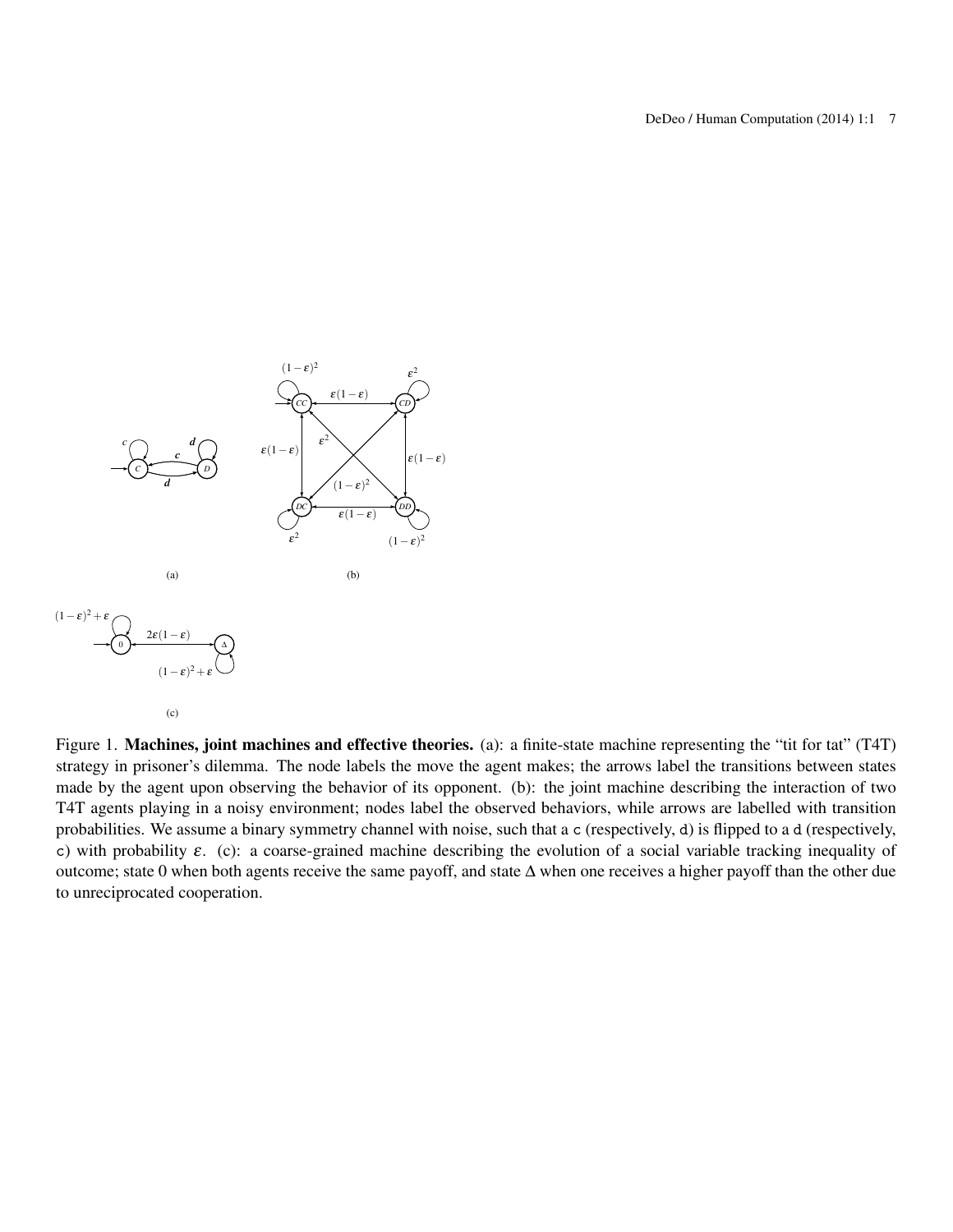<span id="page-2-0"></span>



**Figure** *1. Machines* **and effective theories.** (a):  $\frac{1}{2}$ Figure 1. Machines, joint machines and effective theories. (a): a finite-state machine representing the "tit for tat" (T4T) strategy in prisoner's dilemma. The node labels the move the agent makes; the arrows label the transitions between states *observing the behavior of its opponent. (b): the joint machine describing the interaction of two* made by the agent upon observing the behavior of its opponent. (b): the joint machine describing the interaction of two T4T agents playing in a noisy environment; nodes label the observed behaviors, while arrows are labelled with transition *such that a* c *(respectively,* d*) is flipped to a* d *(respectively,* c*) with probability* <sup>ε</sup>*. (c): a* probabilities. We assume a binary symmetry channel with noise, such that a c (respectively, d) is flipped to a d (respectively, c) with probability  $\varepsilon$ . (c): a coarse-grained machine describing the evolution of a social variable tracking inequality of *higher payoff than the other due to unreciprocated cooperation.* outcome; state 0 when both agents receive the same payoff, and state ∆ when one receives a higher payoff than the other due to unreciprocated cooperation.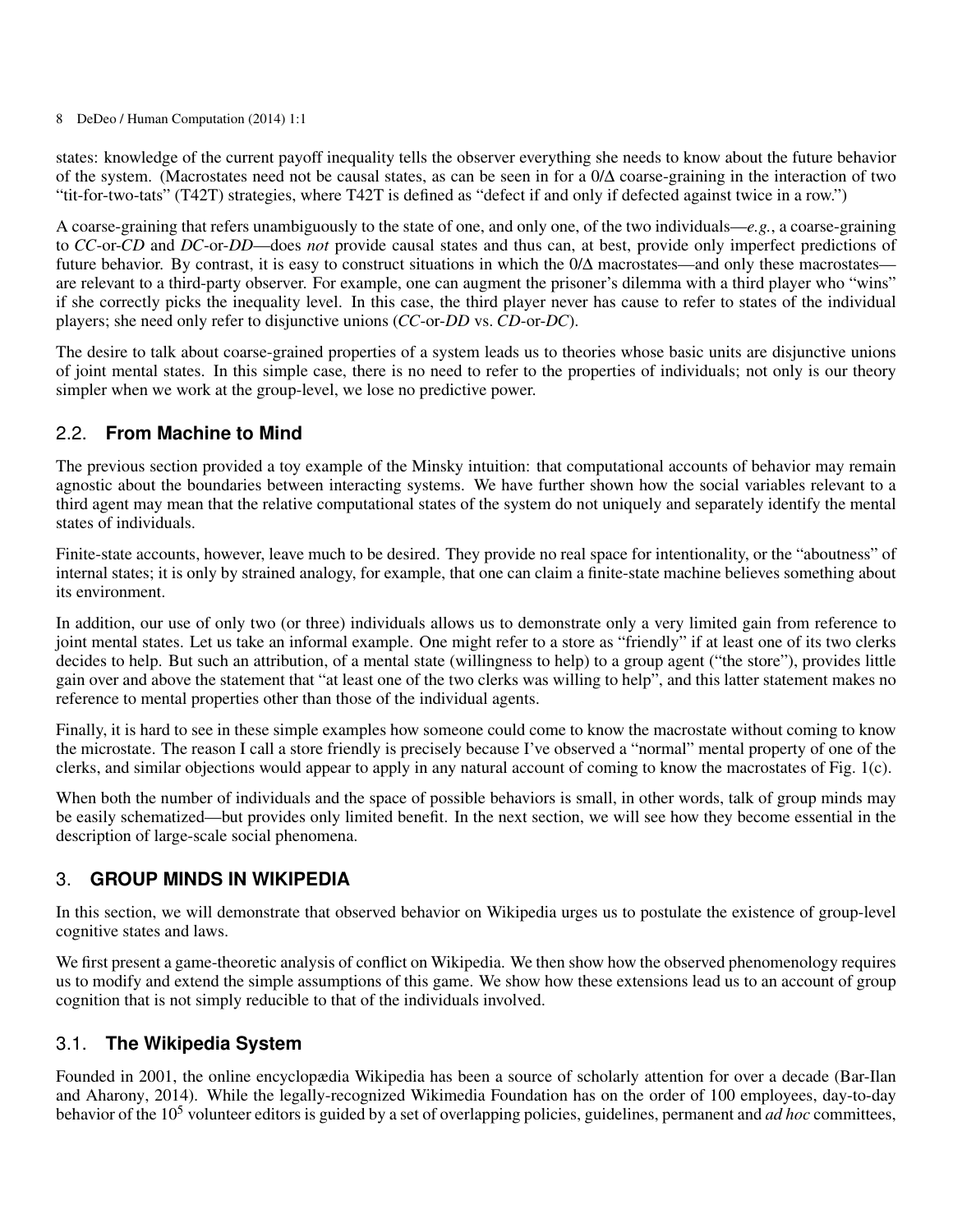states: knowledge of the current payoff inequality tells the observer everything she needs to know about the future behavior of the system. (Macrostates need not be causal states, as can be seen in for a 0/∆ coarse-graining in the interaction of two "tit-for-two-tats" (T42T) strategies, where T42T is defined as "defect if and only if defected against twice in a row.")

A coarse-graining that refers unambiguously to the state of one, and only one, of the two individuals—*e.g.*, a coarse-graining to *CC*-or-*CD* and *DC*-or-*DD*—does *not* provide causal states and thus can, at best, provide only imperfect predictions of future behavior. By contrast, it is easy to construct situations in which the 0/∆ macrostates—and only these macrostates are relevant to a third-party observer. For example, one can augment the prisoner's dilemma with a third player who "wins" if she correctly picks the inequality level. In this case, the third player never has cause to refer to states of the individual players; she need only refer to disjunctive unions (*CC*-or-*DD* vs. *CD*-or-*DC*).

The desire to talk about coarse-grained properties of a system leads us to theories whose basic units are disjunctive unions of joint mental states. In this simple case, there is no need to refer to the properties of individuals; not only is our theory simpler when we work at the group-level, we lose no predictive power.

# 2.2. **From Machine to Mind**

The previous section provided a toy example of the Minsky intuition: that computational accounts of behavior may remain agnostic about the boundaries between interacting systems. We have further shown how the social variables relevant to a third agent may mean that the relative computational states of the system do not uniquely and separately identify the mental states of individuals.

Finite-state accounts, however, leave much to be desired. They provide no real space for intentionality, or the "aboutness" of internal states; it is only by strained analogy, for example, that one can claim a finite-state machine believes something about its environment.

In addition, our use of only two (or three) individuals allows us to demonstrate only a very limited gain from reference to joint mental states. Let us take an informal example. One might refer to a store as "friendly" if at least one of its two clerks decides to help. But such an attribution, of a mental state (willingness to help) to a group agent ("the store"), provides little gain over and above the statement that "at least one of the two clerks was willing to help", and this latter statement makes no reference to mental properties other than those of the individual agents.

Finally, it is hard to see in these simple examples how someone could come to know the macrostate without coming to know the microstate. The reason I call a store friendly is precisely because I've observed a "normal" mental property of one of the clerks, and similar objections would appear to apply in any natural account of coming to know the macrostates of Fig. [1\(](#page-2-0)c).

When both the number of individuals and the space of possible behaviors is small, in other words, talk of group minds may be easily schematized—but provides only limited benefit. In the next section, we will see how they become essential in the description of large-scale social phenomena.

# <span id="page-3-0"></span>3. **GROUP MINDS IN WIKIPEDIA**

In this section, we will demonstrate that observed behavior on Wikipedia urges us to postulate the existence of group-level cognitive states and laws.

We first present a game-theoretic analysis of conflict on Wikipedia. We then show how the observed phenomenology requires us to modify and extend the simple assumptions of this game. We show how these extensions lead us to an account of group cognition that is not simply reducible to that of the individuals involved.

# 3.1. **The Wikipedia System**

Founded in 2001, the online encyclopædia Wikipedia has been a source of scholarly attention for over a decade [\(Bar-Ilan](#page-15-6) [and Aharony, 2014\)](#page-15-6). While the legally-recognized Wikimedia Foundation has on the order of 100 employees, day-to-day behavior of the 10<sup>5</sup> volunteer editors is guided by a set of overlapping policies, guidelines, permanent and *ad hoc* committees,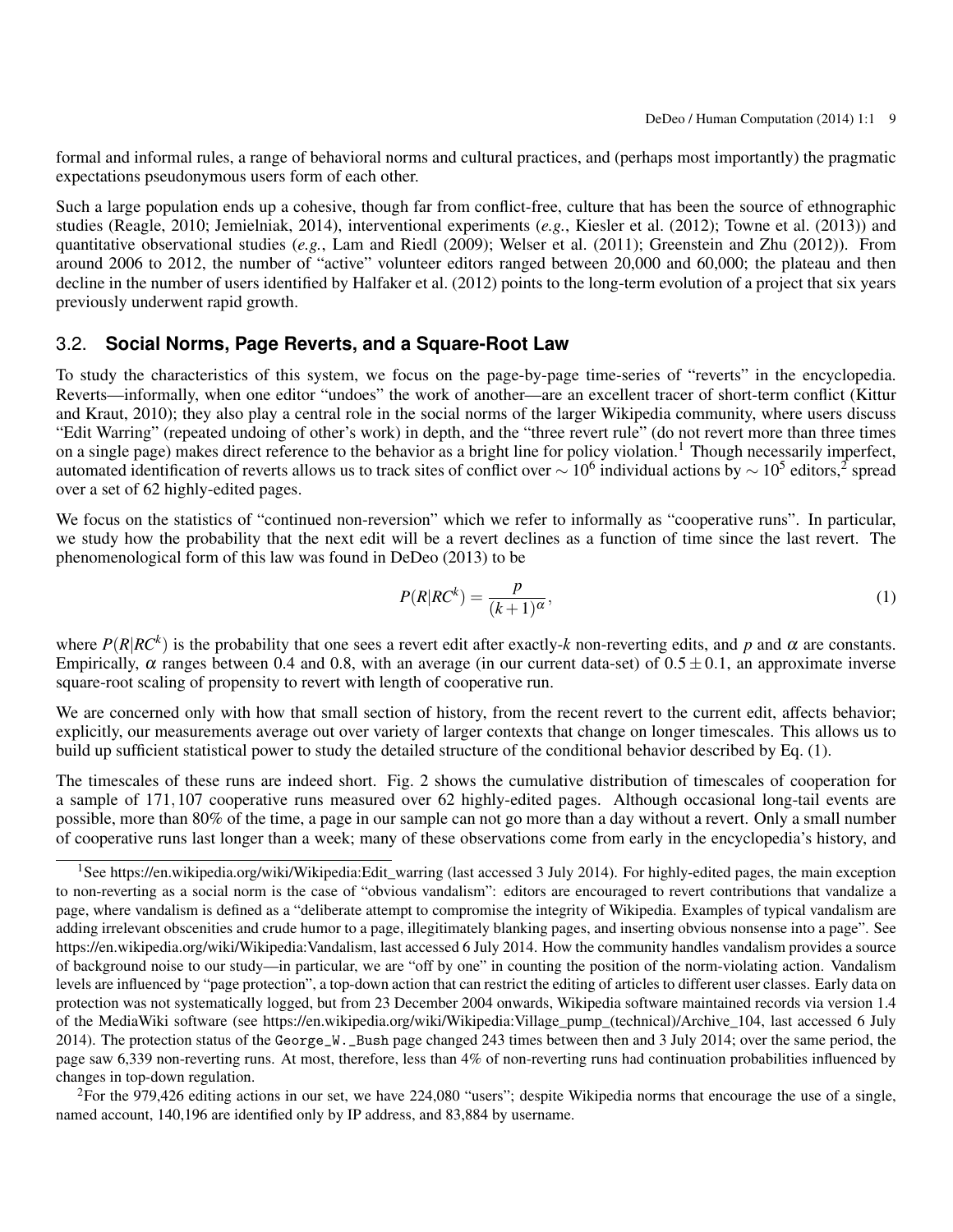formal and informal rules, a range of behavioral norms and cultural practices, and (perhaps most importantly) the pragmatic expectations pseudonymous users form of each other.

Such a large population ends up a cohesive, though far from conflict-free, culture that has been the source of ethnographic studies [\(Reagle, 2010;](#page-16-4) [Jemielniak, 2014\)](#page-15-7), interventional experiments (*e.g.*, [Kiesler et al.](#page-15-8) [\(2012\)](#page-15-8); [Towne et al.](#page-16-5) [\(2013\)](#page-16-5)) and quantitative observational studies (*e.g.*, [Lam and Riedl](#page-16-6) [\(2009\)](#page-16-6); [Welser et al.](#page-16-7) [\(2011\)](#page-16-7); [Greenstein and Zhu](#page-15-9) [\(2012\)](#page-15-9)). From around 2006 to 2012, the number of "active" volunteer editors ranged between 20,000 and 60,000; the plateau and then decline in the number of users identified by [Halfaker et al.](#page-15-10) [\(2012\)](#page-15-10) points to the long-term evolution of a project that six years previously underwent rapid growth.

## 3.2. **Social Norms, Page Reverts, and a Square-Root Law**

To study the characteristics of this system, we focus on the page-by-page time-series of "reverts" in the encyclopedia. Reverts—informally, when one editor "undoes" the work of another—are an excellent tracer of short-term conflict [\(Kittur](#page-15-11) [and Kraut, 2010\)](#page-15-11); they also play a central role in the social norms of the larger Wikipedia community, where users discuss "Edit Warring" (repeated undoing of other's work) in depth, and the "three revert rule" (do not revert more than three times on a single page) makes direct reference to the behavior as a bright line for policy violation.<sup>[1](#page-4-0)</sup> Though necessarily imperfect, automated identification of reverts allows us to track sites of conflict over  $\sim 10^6$  individual actions by  $\sim 10^5$  editors,<sup>[2](#page-4-1)</sup> spread over a set of 62 highly-edited pages.

We focus on the statistics of "continued non-reversion" which we refer to informally as "cooperative runs". In particular, we study how the probability that the next edit will be a revert declines as a function of time since the last revert. The phenomenological form of this law was found in [DeDeo](#page-15-3) [\(2013\)](#page-15-3) to be

<span id="page-4-2"></span>
$$
P(R|RC^k) = \frac{p}{(k+1)^{\alpha}},\tag{1}
$$

where  $P(R|RC^k)$  is the probability that one sees a revert edit after exactly-*k* non-reverting edits, and *p* and  $\alpha$  are constants. Empirically,  $\alpha$  ranges between 0.4 and 0.8, with an average (in our current data-set) of  $0.5 \pm 0.1$ , an approximate inverse square-root scaling of propensity to revert with length of cooperative run.

We are concerned only with how that small section of history, from the recent revert to the current edit, affects behavior; explicitly, our measurements average out over variety of larger contexts that change on longer timescales. This allows us to build up sufficient statistical power to study the detailed structure of the conditional behavior described by Eq. [\(1\).](#page-4-2)

The timescales of these runs are indeed short. Fig. [2](#page-5-0) shows the cumulative distribution of timescales of cooperation for a sample of 171,107 cooperative runs measured over 62 highly-edited pages. Although occasional long-tail events are possible, more than 80% of the time, a page in our sample can not go more than a day without a revert. Only a small number of cooperative runs last longer than a week; many of these observations come from early in the encyclopedia's history, and

<span id="page-4-0"></span><sup>&</sup>lt;sup>1</sup>See [https://en.wikipedia.org/wiki/Wikipedia:Edit\\_warring](https://en.wikipedia.org/wiki/Wikipedia:Edit_warring) (last accessed 3 July 2014). For highly-edited pages, the main exception to non-reverting as a social norm is the case of "obvious vandalism": editors are encouraged to revert contributions that vandalize a page, where vandalism is defined as a "deliberate attempt to compromise the integrity of Wikipedia. Examples of typical vandalism are adding irrelevant obscenities and crude humor to a page, illegitimately blanking pages, and inserting obvious nonsense into a page". See [https://en.wikipedia.org/wiki/Wikipedia:Vandalism,](https://en.wikipedia.org/wiki/Wikipedia:Vandalism) last accessed 6 July 2014. How the community handles vandalism provides a source of background noise to our study—in particular, we are "off by one" in counting the position of the norm-violating action. Vandalism levels are influenced by "page protection", a top-down action that can restrict the editing of articles to different user classes. Early data on protection was not systematically logged, but from 23 December 2004 onwards, Wikipedia software maintained records via version 1.4 of the MediaWiki software (see [https://en.wikipedia.org/wiki/Wikipedia:Village\\_pump\\_\(technical\)/Archive\\_104,](https://en.wikipedia.org/wiki/Wikipedia:Village_pump_(technical)/Archive_104) last accessed 6 July 2014). The protection status of the George\_W.\_Bush page changed 243 times between then and 3 July 2014; over the same period, the page saw 6,339 non-reverting runs. At most, therefore, less than 4% of non-reverting runs had continuation probabilities influenced by changes in top-down regulation.

<span id="page-4-1"></span><sup>&</sup>lt;sup>2</sup>For the 979,426 editing actions in our set, we have 224,080 "users"; despite Wikipedia norms that encourage the use of a single, named account, 140,196 are identified only by IP address, and 83,884 by username.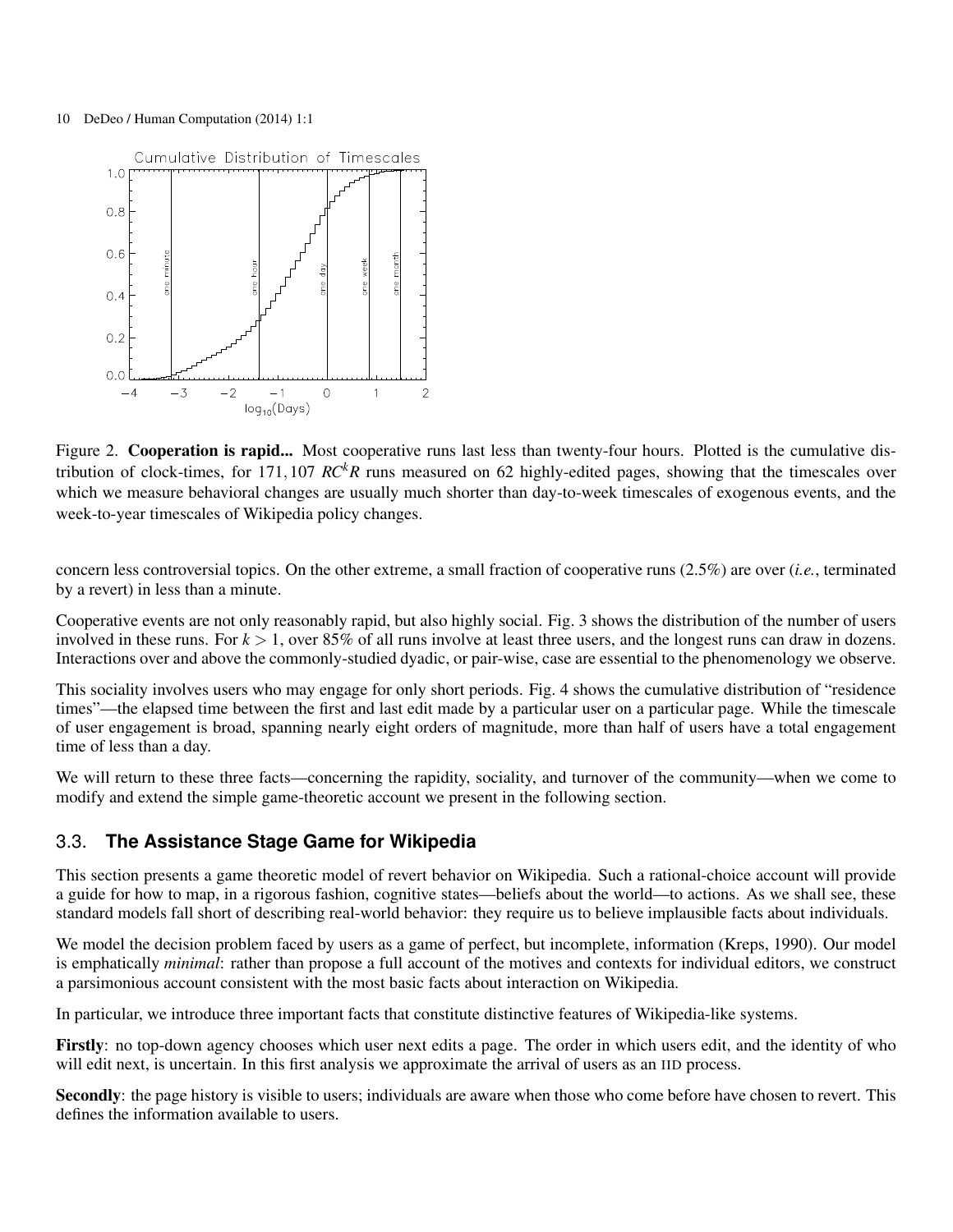<span id="page-5-0"></span>

Figure 2. Cooperation is rapid... Most cooperative runs last less than twenty-four hours. Plotted is the cumulative distribution of clock-times, for 171,107 *RCkR* runs measured on 62 highly-edited pages, showing that the timescales over which we measure behavioral changes are usually much shorter than day-to-week timescales of exogenous events, and the week-to-year timescales of Wikipedia policy changes.

concern less controversial topics. On the other extreme, a small fraction of cooperative runs (2.5%) are over (*i.e.*, terminated by a revert) in less than a minute.

Cooperative events are not only reasonably rapid, but also highly social. Fig. [3](#page-6-0) shows the distribution of the number of users involved in these runs. For *k* > 1, over 85% of all runs involve at least three users, and the longest runs can draw in dozens. Interactions over and above the commonly-studied dyadic, or pair-wise, case are essential to the phenomenology we observe.

This sociality involves users who may engage for only short periods. Fig. [4](#page-6-1) shows the cumulative distribution of "residence times"—the elapsed time between the first and last edit made by a particular user on a particular page. While the timescale of user engagement is broad, spanning nearly eight orders of magnitude, more than half of users have a total engagement time of less than a day.

We will return to these three facts—concerning the rapidity, sociality, and turnover of the community—when we come to modify and extend the simple game-theoretic account we present in the following section.

# <span id="page-5-1"></span>3.3. **The Assistance Stage Game for Wikipedia**

This section presents a game theoretic model of revert behavior on Wikipedia. Such a rational-choice account will provide a guide for how to map, in a rigorous fashion, cognitive states—beliefs about the world—to actions. As we shall see, these standard models fall short of describing real-world behavior: they require us to believe implausible facts about individuals.

We model the decision problem faced by users as a game of perfect, but incomplete, information [\(Kreps, 1990\)](#page-16-8). Our model is emphatically *minimal*: rather than propose a full account of the motives and contexts for individual editors, we construct a parsimonious account consistent with the most basic facts about interaction on Wikipedia.

In particular, we introduce three important facts that constitute distinctive features of Wikipedia-like systems.

Firstly: no top-down agency chooses which user next edits a page. The order in which users edit, and the identity of who will edit next, is uncertain. In this first analysis we approximate the arrival of users as an IID process.

Secondly: the page history is visible to users; individuals are aware when those who come before have chosen to revert. This defines the information available to users.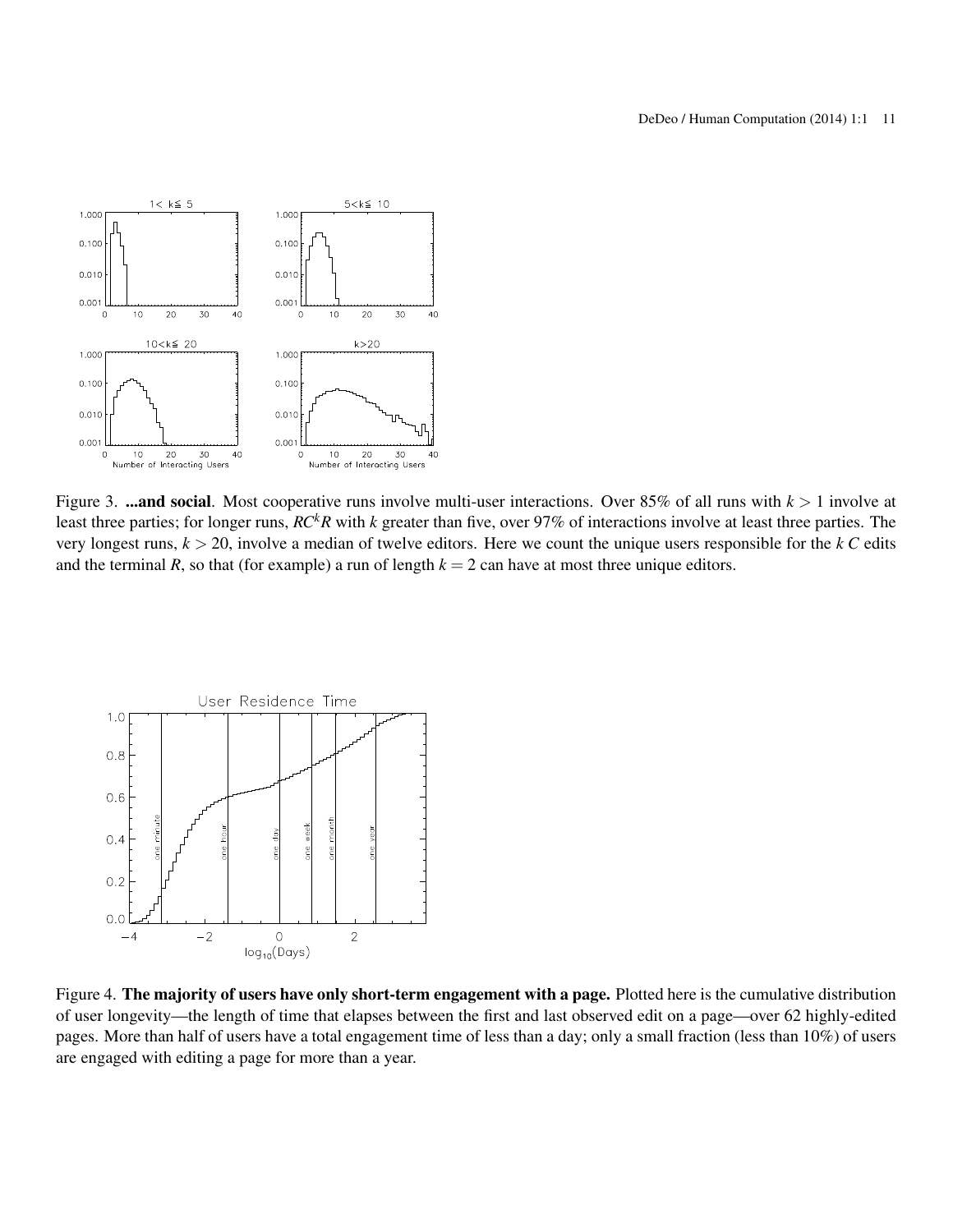<span id="page-6-0"></span>

Figure 3. ...and social. Most cooperative runs involve multi-user interactions. Over 85% of all runs with  $k > 1$  involve at least three parties; for longer runs, *RCkR* with *k* greater than five, over 97% of interactions involve at least three parties. The very longest runs, *k* > 20, involve a median of twelve editors. Here we count the unique users responsible for the *k C* edits and the terminal *R*, so that (for example) a run of length  $k = 2$  can have at most three unique editors.

<span id="page-6-1"></span>

Figure 4. The majority of users have only short-term engagement with a page. Plotted here is the cumulative distribution of user longevity—the length of time that elapses between the first and last observed edit on a page—over 62 highly-edited pages. More than half of users have a total engagement time of less than a day; only a small fraction (less than 10%) of users are engaged with editing a page for more than a year.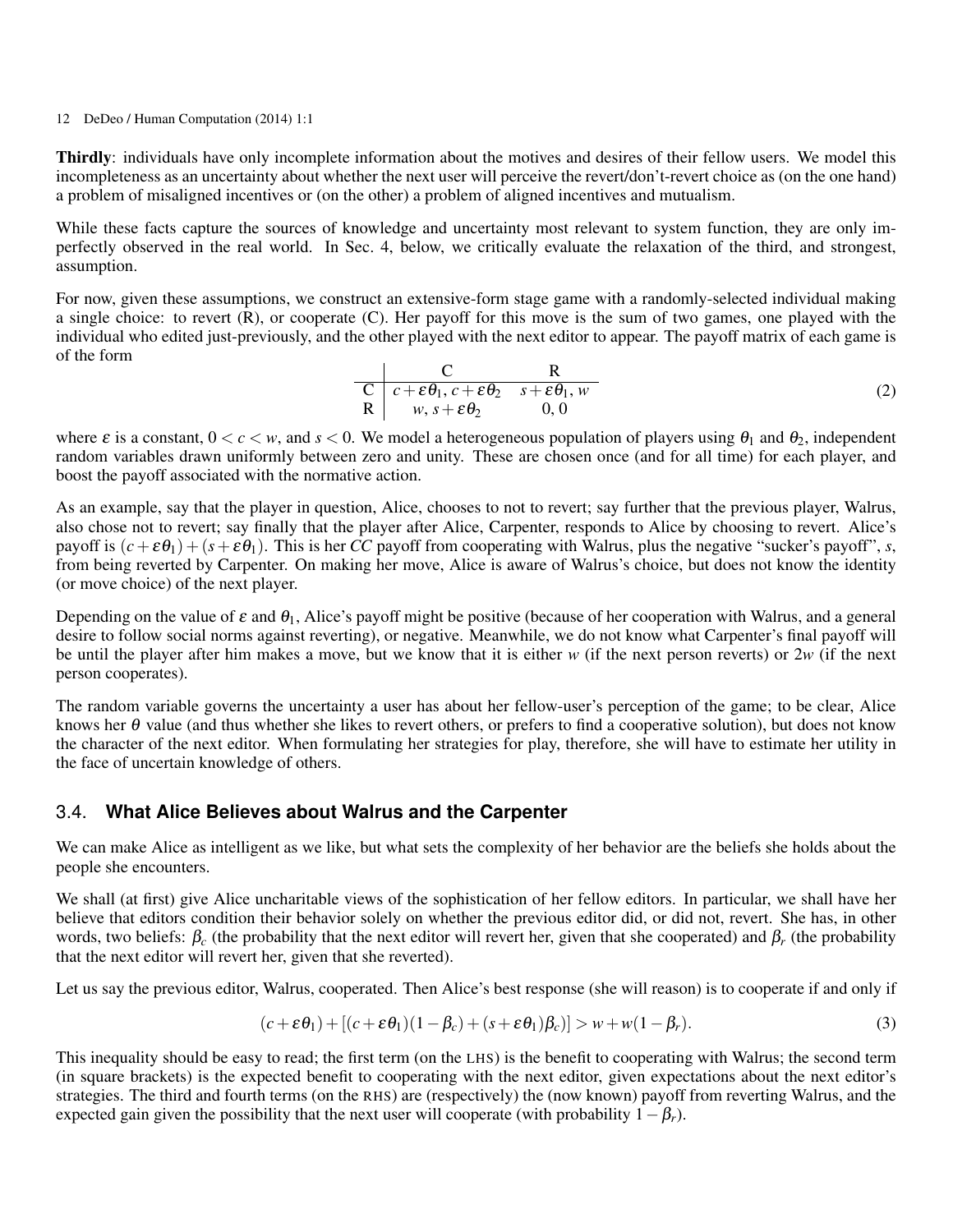Thirdly: individuals have only incomplete information about the motives and desires of their fellow users. We model this incompleteness as an uncertainty about whether the next user will perceive the revert/don't-revert choice as (on the one hand) a problem of misaligned incentives or (on the other) a problem of aligned incentives and mutualism.

While these facts capture the sources of knowledge and uncertainty most relevant to system function, they are only imperfectly observed in the real world. In Sec. [4,](#page-9-0) below, we critically evaluate the relaxation of the third, and strongest, assumption.

For now, given these assumptions, we construct an extensive-form stage game with a randomly-selected individual making a single choice: to revert  $(R)$ , or cooperate  $(C)$ . Her payoff for this move is the sum of two games, one played with the individual who edited just-previously, and the other played with the next editor to appear. The payoff matrix of each game is of the form

$$
\begin{array}{c|c}\n & C & R \\
\hline\nC & c + \varepsilon \theta_1, c + \varepsilon \theta_2 & s + \varepsilon \theta_1, w \\
R & w, s + \varepsilon \theta_2 & 0, 0\n\end{array}
$$
\n(2)

where  $\varepsilon$  is a constant,  $0 < c < w$ , and  $s < 0$ . We model a heterogeneous population of players using  $\theta_1$  and  $\theta_2$ , independent random variables drawn uniformly between zero and unity. These are chosen once (and for all time) for each player, and boost the payoff associated with the normative action.

As an example, say that the player in question, Alice, chooses to not to revert; say further that the previous player, Walrus, also chose not to revert; say finally that the player after Alice, Carpenter, responds to Alice by choosing to revert. Alice's payoff is  $(c+\epsilon\theta_1) + (s+\epsilon\theta_1)$ . This is her *CC* payoff from cooperating with Walrus, plus the negative "sucker's payoff", *s*, from being reverted by Carpenter. On making her move, Alice is aware of Walrus's choice, but does not know the identity (or move choice) of the next player.

Depending on the value of  $\varepsilon$  and  $\theta_1$ , Alice's payoff might be positive (because of her cooperation with Walrus, and a general desire to follow social norms against reverting), or negative. Meanwhile, we do not know what Carpenter's final payoff will be until the player after him makes a move, but we know that it is either *w* (if the next person reverts) or 2*w* (if the next person cooperates).

The random variable governs the uncertainty a user has about her fellow-user's perception of the game; to be clear, Alice knows her  $\theta$  value (and thus whether she likes to revert others, or prefers to find a cooperative solution), but does not know the character of the next editor. When formulating her strategies for play, therefore, she will have to estimate her utility in the face of uncertain knowledge of others.

## <span id="page-7-1"></span>3.4. **What Alice Believes about Walrus and the Carpenter**

We can make Alice as intelligent as we like, but what sets the complexity of her behavior are the beliefs she holds about the people she encounters.

We shall (at first) give Alice uncharitable views of the sophistication of her fellow editors. In particular, we shall have her believe that editors condition their behavior solely on whether the previous editor did, or did not, revert. She has, in other words, two beliefs: β*<sup>c</sup>* (the probability that the next editor will revert her, given that she cooperated) and β*<sup>r</sup>* (the probability that the next editor will revert her, given that she reverted).

Let us say the previous editor, Walrus, cooperated. Then Alice's best response (she will reason) is to cooperate if and only if

<span id="page-7-0"></span>
$$
(c + \varepsilon \theta_1) + [(c + \varepsilon \theta_1)(1 - \beta_c) + (s + \varepsilon \theta_1)\beta_c)] > w + w(1 - \beta_r).
$$
\n(3)

This inequality should be easy to read; the first term (on the LHS) is the benefit to cooperating with Walrus; the second term (in square brackets) is the expected benefit to cooperating with the next editor, given expectations about the next editor's strategies. The third and fourth terms (on the RHS) are (respectively) the (now known) payoff from reverting Walrus, and the expected gain given the possibility that the next user will cooperate (with probability  $1-\beta_r$ ).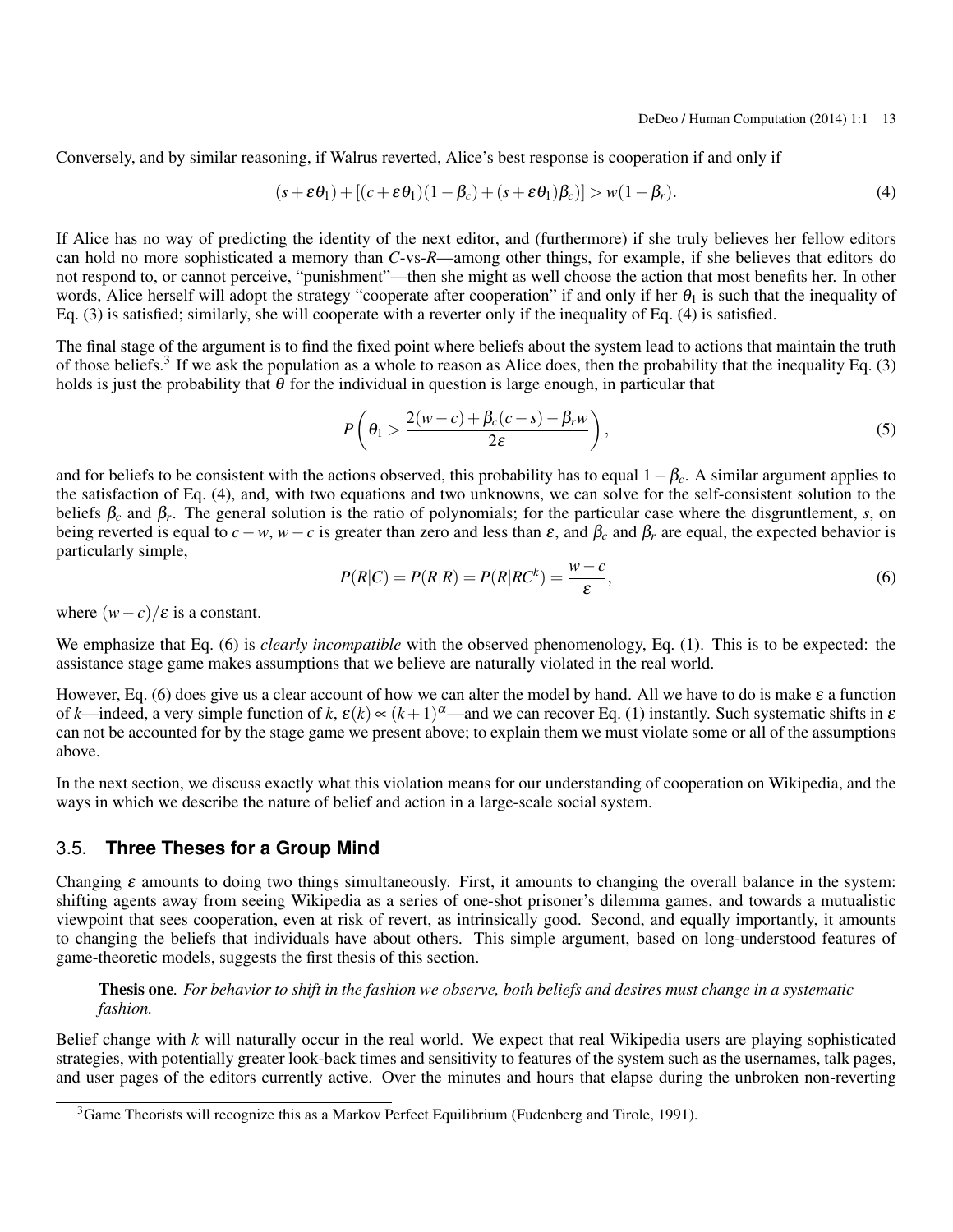Conversely, and by similar reasoning, if Walrus reverted, Alice's best response is cooperation if and only if

<span id="page-8-0"></span>
$$
(s + \varepsilon \theta_1) + [(c + \varepsilon \theta_1)(1 - \beta_c) + (s + \varepsilon \theta_1)\beta_c)] > w(1 - \beta_r). \tag{4}
$$

If Alice has no way of predicting the identity of the next editor, and (furthermore) if she truly believes her fellow editors can hold no more sophisticated a memory than *C*-vs-*R*—among other things, for example, if she believes that editors do not respond to, or cannot perceive, "punishment"—then she might as well choose the action that most benefits her. In other words. Alice herself will adopt the strategy "cooperate after cooperation" if and only if her  $\theta_1$  is such that the inequality of Eq. [\(3\)](#page-7-0) is satisfied; similarly, she will cooperate with a reverter only if the inequality of Eq. [\(4\)](#page-8-0) is satisfied.

The final stage of the argument is to find the fixed point where beliefs about the system lead to actions that maintain the truth of those beliefs.<sup>[3](#page-8-1)</sup> If we ask the population as a whole to reason as Alice does, then the probability that the inequality Eq. [\(3\)](#page-7-0) holds is just the probability that  $\hat{\theta}$  for the individual in question is large enough, in particular that

$$
P\left(\theta_1 > \frac{2(w-c) + \beta_c(c-s) - \beta_r w}{2\varepsilon}\right),\tag{5}
$$

and for beliefs to be consistent with the actions observed, this probability has to equal  $1-\beta_c$ . A similar argument applies to the satisfaction of Eq. [\(4\),](#page-8-0) and, with two equations and two unknowns, we can solve for the self-consistent solution to the beliefs β*<sup>c</sup>* and β*<sup>r</sup>* . The general solution is the ratio of polynomials; for the particular case where the disgruntlement, *s*, on being reverted is equal to  $c - w$ ,  $w - c$  is greater than zero and less than  $\varepsilon$ , and  $\beta_c$  and  $\beta_r$  are equal, the expected behavior is particularly simple,

<span id="page-8-2"></span>
$$
P(R|C) = P(R|R) = P(R|RC^k) = \frac{w - c}{\varepsilon},
$$
\n<sup>(6)</sup>

where  $(w-c)/\varepsilon$  is a constant.

We emphasize that Eq. [\(6\)](#page-8-2) is *clearly incompatible* with the observed phenomenology, Eq. [\(1\).](#page-4-2) This is to be expected: the assistance stage game makes assumptions that we believe are naturally violated in the real world.

However, Eq. [\(6\)](#page-8-2) does give us a clear account of how we can alter the model by hand. All we have to do is make  $\varepsilon$  a function of *k*—indeed, a very simple function of *k*,  $\varepsilon(k) \propto (k+1)^\alpha$ —and we can recover Eq. [\(1\)](#page-4-2) instantly. Such systematic shifts in  $\varepsilon$ can not be accounted for by the stage game we present above; to explain them we must violate some or all of the assumptions above.

In the next section, we discuss exactly what this violation means for our understanding of cooperation on Wikipedia, and the ways in which we describe the nature of belief and action in a large-scale social system.

## <span id="page-8-3"></span>3.5. **Three Theses for a Group Mind**

Changing  $\varepsilon$  amounts to doing two things simultaneously. First, it amounts to changing the overall balance in the system: shifting agents away from seeing Wikipedia as a series of one-shot prisoner's dilemma games, and towards a mutualistic viewpoint that sees cooperation, even at risk of revert, as intrinsically good. Second, and equally importantly, it amounts to changing the beliefs that individuals have about others. This simple argument, based on long-understood features of game-theoretic models, suggests the first thesis of this section.

Thesis one*. For behavior to shift in the fashion we observe, both beliefs and desires must change in a systematic fashion.*

Belief change with *k* will naturally occur in the real world. We expect that real Wikipedia users are playing sophisticated strategies, with potentially greater look-back times and sensitivity to features of the system such as the usernames, talk pages, and user pages of the editors currently active. Over the minutes and hours that elapse during the unbroken non-reverting

<span id="page-8-1"></span> $3$ Game Theorists will recognize this as a Markov Perfect Equilibrium [\(Fudenberg and Tirole, 1991\)](#page-15-12).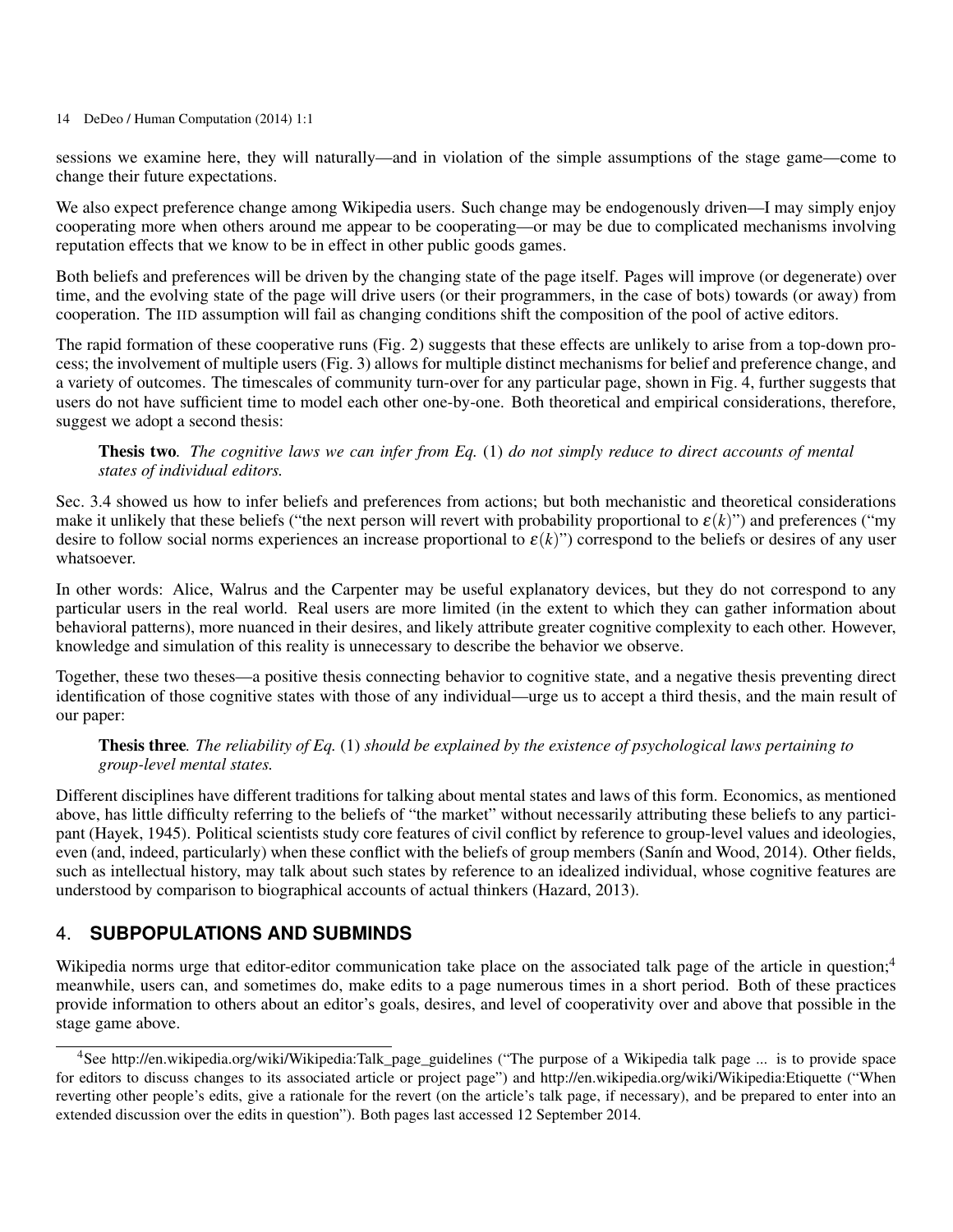sessions we examine here, they will naturally—and in violation of the simple assumptions of the stage game—come to change their future expectations.

We also expect preference change among Wikipedia users. Such change may be endogenously driven—I may simply enjoy cooperating more when others around me appear to be cooperating—or may be due to complicated mechanisms involving reputation effects that we know to be in effect in other public goods games.

Both beliefs and preferences will be driven by the changing state of the page itself. Pages will improve (or degenerate) over time, and the evolving state of the page will drive users (or their programmers, in the case of bots) towards (or away) from cooperation. The IID assumption will fail as changing conditions shift the composition of the pool of active editors.

The rapid formation of these cooperative runs (Fig. [2\)](#page-5-0) suggests that these effects are unlikely to arise from a top-down process; the involvement of multiple users (Fig. [3\)](#page-6-0) allows for multiple distinct mechanisms for belief and preference change, and a variety of outcomes. The timescales of community turn-over for any particular page, shown in Fig. [4,](#page-6-1) further suggests that users do not have sufficient time to model each other one-by-one. Both theoretical and empirical considerations, therefore, suggest we adopt a second thesis:

Thesis two*. The cognitive laws we can infer from Eq.* [\(1\)](#page-4-2) *do not simply reduce to direct accounts of mental states of individual editors.*

Sec. [3.4](#page-7-1) showed us how to infer beliefs and preferences from actions; but both mechanistic and theoretical considerations make it unlikely that these beliefs ("the next person will revert with probability proportional to  $\varepsilon(k)$ ") and preferences ("my desire to follow social norms experiences an increase proportional to  $\varepsilon(k)$ ") correspond to the beliefs or desires of any user whatsoever.

In other words: Alice, Walrus and the Carpenter may be useful explanatory devices, but they do not correspond to any particular users in the real world. Real users are more limited (in the extent to which they can gather information about behavioral patterns), more nuanced in their desires, and likely attribute greater cognitive complexity to each other. However, knowledge and simulation of this reality is unnecessary to describe the behavior we observe.

Together, these two theses—a positive thesis connecting behavior to cognitive state, and a negative thesis preventing direct identification of those cognitive states with those of any individual—urge us to accept a third thesis, and the main result of our paper:

#### Thesis three*. The reliability of Eq.* [\(1\)](#page-4-2) *should be explained by the existence of psychological laws pertaining to group-level mental states.*

Different disciplines have different traditions for talking about mental states and laws of this form. Economics, as mentioned above, has little difficulty referring to the beliefs of "the market" without necessarily attributing these beliefs to any participant [\(Hayek, 1945\)](#page-15-13). Political scientists study core features of civil conflict by reference to group-level values and ideologies, even (and, indeed, particularly) when these conflict with the beliefs of group members [\(Sanín and Wood, 2014\)](#page-16-9). Other fields, such as intellectual history, may talk about such states by reference to an idealized individual, whose cognitive features are understood by comparison to biographical accounts of actual thinkers [\(Hazard, 2013\)](#page-15-14).

# <span id="page-9-0"></span>4. **SUBPOPULATIONS AND SUBMINDS**

Wikipedia norms urge that editor-editor communication take place on the associated talk page of the article in question;<sup>[4](#page-9-1)</sup> meanwhile, users can, and sometimes do, make edits to a page numerous times in a short period. Both of these practices provide information to others about an editor's goals, desires, and level of cooperativity over and above that possible in the stage game above.

<span id="page-9-1"></span><sup>4</sup>See [http://en.wikipedia.org/wiki/Wikipedia:Talk\\_page\\_guidelines](http://en.wikipedia.org/wiki/Wikipedia:Talk_page_guidelines) ("The purpose of a Wikipedia talk page ... is to provide space for editors to discuss changes to its associated article or project page") and<http://en.wikipedia.org/wiki/Wikipedia:Etiquette> ("When reverting other people's edits, give a rationale for the revert (on the article's talk page, if necessary), and be prepared to enter into an extended discussion over the edits in question"). Both pages last accessed 12 September 2014.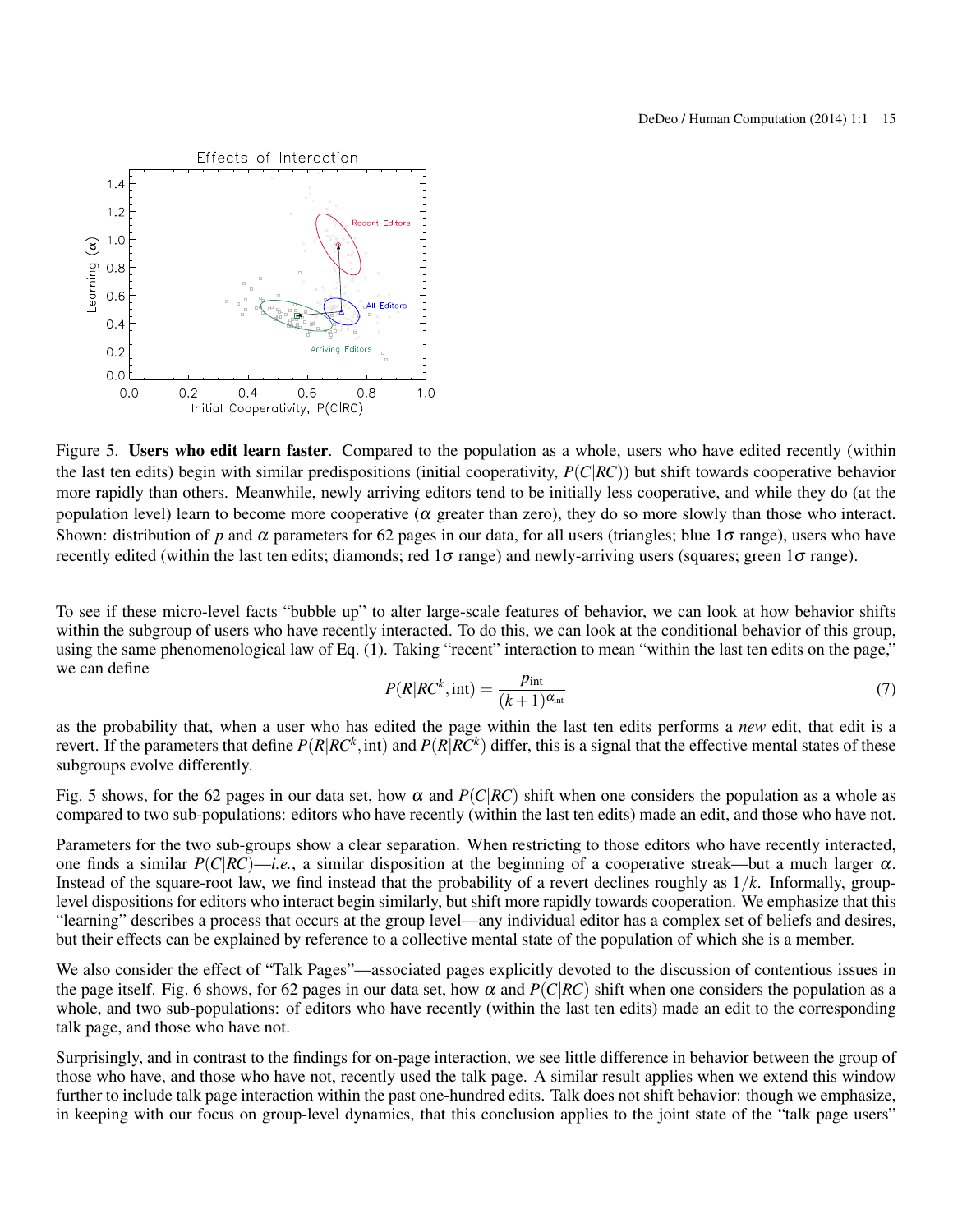<span id="page-10-0"></span>

Figure 5. Users who edit learn faster. Compared to the population as a whole, users who have edited recently (within the last ten edits) begin with similar predispositions (initial cooperativity, *P*(*C*|*RC*)) but shift towards cooperative behavior more rapidly than others. Meanwhile, newly arriving editors tend to be initially less cooperative, and while they do (at the population level) learn to become more cooperative ( $\alpha$  greater than zero), they do so more slowly than those who interact. Shown: distribution of *p* and  $\alpha$  parameters for 62 pages in our data, for all users (triangles; blue  $1\sigma$  range), users who have recently edited (within the last ten edits; diamonds; red  $1\sigma$  range) and newly-arriving users (squares; green  $1\sigma$  range).

To see if these micro-level facts "bubble up" to alter large-scale features of behavior, we can look at how behavior shifts within the subgroup of users who have recently interacted. To do this, we can look at the conditional behavior of this group, using the same phenomenological law of Eq. [\(1\).](#page-4-2) Taking "recent" interaction to mean "within the last ten edits on the page," we can define

$$
P(R|RC^k, \text{int}) = \frac{p_{\text{int}}}{(k+1)^{\alpha_{\text{int}}}}
$$
\n(7)

as the probability that, when a user who has edited the page within the last ten edits performs a *new* edit, that edit is a revert. If the parameters that define  $P(R|RC^k, \text{int})$  and  $P(R|\overline{RC}^k)$  differ, this is a signal that the effective mental states of these subgroups evolve differently.

Fig. [5](#page-10-0) shows, for the 62 pages in our data set, how  $\alpha$  and  $P(C|RC)$  shift when one considers the population as a whole as compared to two sub-populations: editors who have recently (within the last ten edits) made an edit, and those who have not.

Parameters for the two sub-groups show a clear separation. When restricting to those editors who have recently interacted, one finds a similar  $P(C|RC)$ —*i.e.*, a similar disposition at the beginning of a cooperative streak—but a much larger  $\alpha$ . Instead of the square-root law, we find instead that the probability of a revert declines roughly as 1/*k*. Informally, grouplevel dispositions for editors who interact begin similarly, but shift more rapidly towards cooperation. We emphasize that this "learning" describes a process that occurs at the group level—any individual editor has a complex set of beliefs and desires, but their effects can be explained by reference to a collective mental state of the population of which she is a member.

We also consider the effect of "Talk Pages"—associated pages explicitly devoted to the discussion of contentious issues in the page itself. Fig. [6](#page-11-1) shows, for 62 pages in our data set, how  $\alpha$  and  $P(C|RC)$  shift when one considers the population as a whole, and two sub-populations: of editors who have recently (within the last ten edits) made an edit to the corresponding talk page, and those who have not.

Surprisingly, and in contrast to the findings for on-page interaction, we see little difference in behavior between the group of those who have, and those who have not, recently used the talk page. A similar result applies when we extend this window further to include talk page interaction within the past one-hundred edits. Talk does not shift behavior: though we emphasize, in keeping with our focus on group-level dynamics, that this conclusion applies to the joint state of the "talk page users"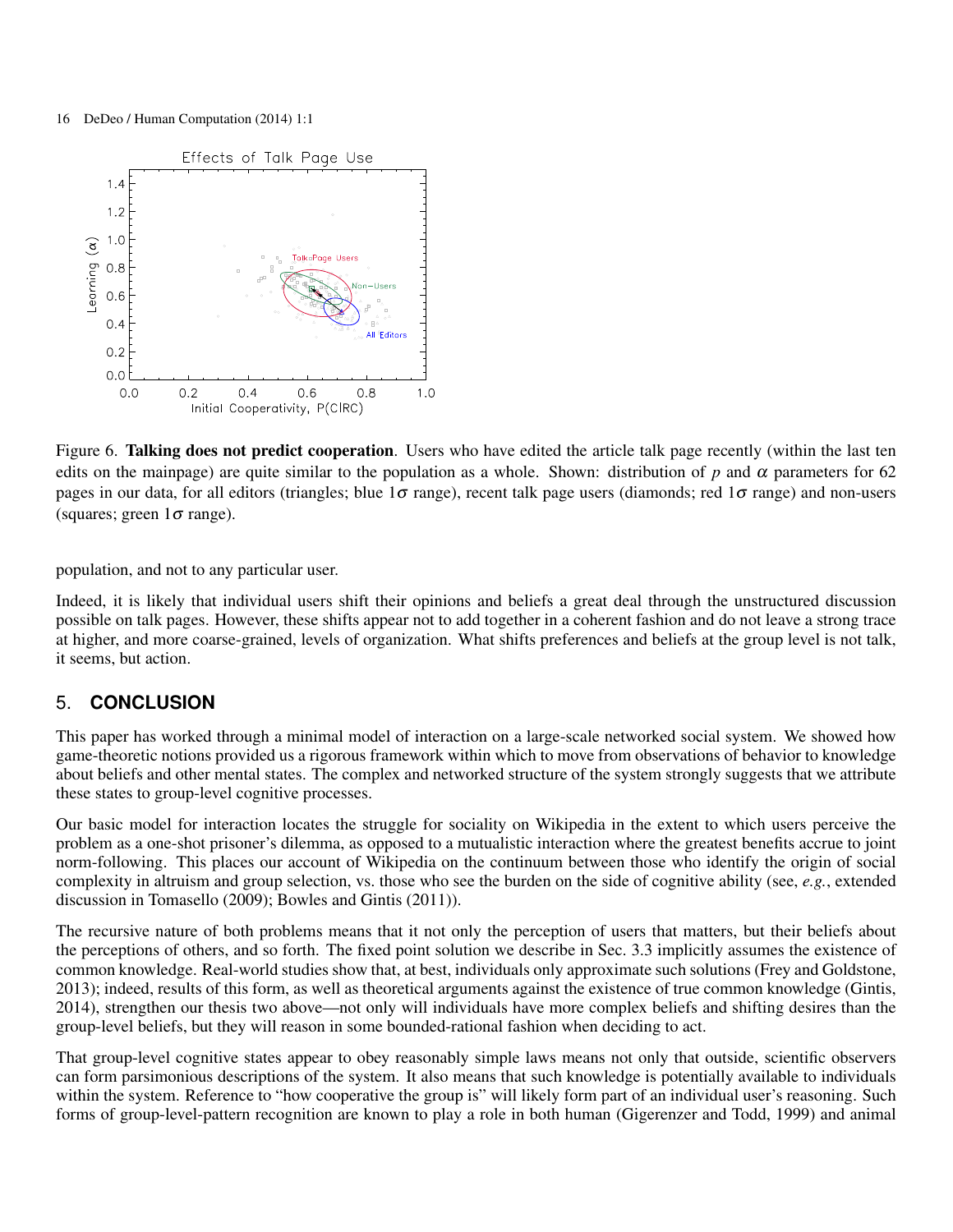<span id="page-11-1"></span>

Figure 6. Talking does not predict cooperation. Users who have edited the article talk page recently (within the last ten edits on the mainpage) are quite similar to the population as a whole. Shown: distribution of *p* and  $\alpha$  parameters for 62 pages in our data, for all editors (triangles; blue  $1\sigma$  range), recent talk page users (diamonds; red  $1\sigma$  range) and non-users (squares; green  $1\sigma$  range).

population, and not to any particular user.

Indeed, it is likely that individual users shift their opinions and beliefs a great deal through the unstructured discussion possible on talk pages. However, these shifts appear not to add together in a coherent fashion and do not leave a strong trace at higher, and more coarse-grained, levels of organization. What shifts preferences and beliefs at the group level is not talk, it seems, but action.

# <span id="page-11-0"></span>5. **CONCLUSION**

This paper has worked through a minimal model of interaction on a large-scale networked social system. We showed how game-theoretic notions provided us a rigorous framework within which to move from observations of behavior to knowledge about beliefs and other mental states. The complex and networked structure of the system strongly suggests that we attribute these states to group-level cognitive processes.

Our basic model for interaction locates the struggle for sociality on Wikipedia in the extent to which users perceive the problem as a one-shot prisoner's dilemma, as opposed to a mutualistic interaction where the greatest benefits accrue to joint norm-following. This places our account of Wikipedia on the continuum between those who identify the origin of social complexity in altruism and group selection, vs. those who see the burden on the side of cognitive ability (see, *e.g.*, extended discussion in [Tomasello](#page-16-10) [\(2009\)](#page-16-10); [Bowles and Gintis](#page-15-15) [\(2011\)](#page-15-15)).

The recursive nature of both problems means that it not only the perception of users that matters, but their beliefs about the perceptions of others, and so forth. The fixed point solution we describe in Sec. [3.3](#page-5-1) implicitly assumes the existence of common knowledge. Real-world studies show that, at best, individuals only approximate such solutions [\(Frey and Goldstone,](#page-15-16) [2013\)](#page-15-16); indeed, results of this form, as well as theoretical arguments against the existence of true common knowledge [\(Gintis,](#page-15-17) [2014\)](#page-15-17), strengthen our thesis two above—not only will individuals have more complex beliefs and shifting desires than the group-level beliefs, but they will reason in some bounded-rational fashion when deciding to act.

That group-level cognitive states appear to obey reasonably simple laws means not only that outside, scientific observers can form parsimonious descriptions of the system. It also means that such knowledge is potentially available to individuals within the system. Reference to "how cooperative the group is" will likely form part of an individual user's reasoning. Such forms of group-level-pattern recognition are known to play a role in both human [\(Gigerenzer and Todd, 1999\)](#page-15-18) and animal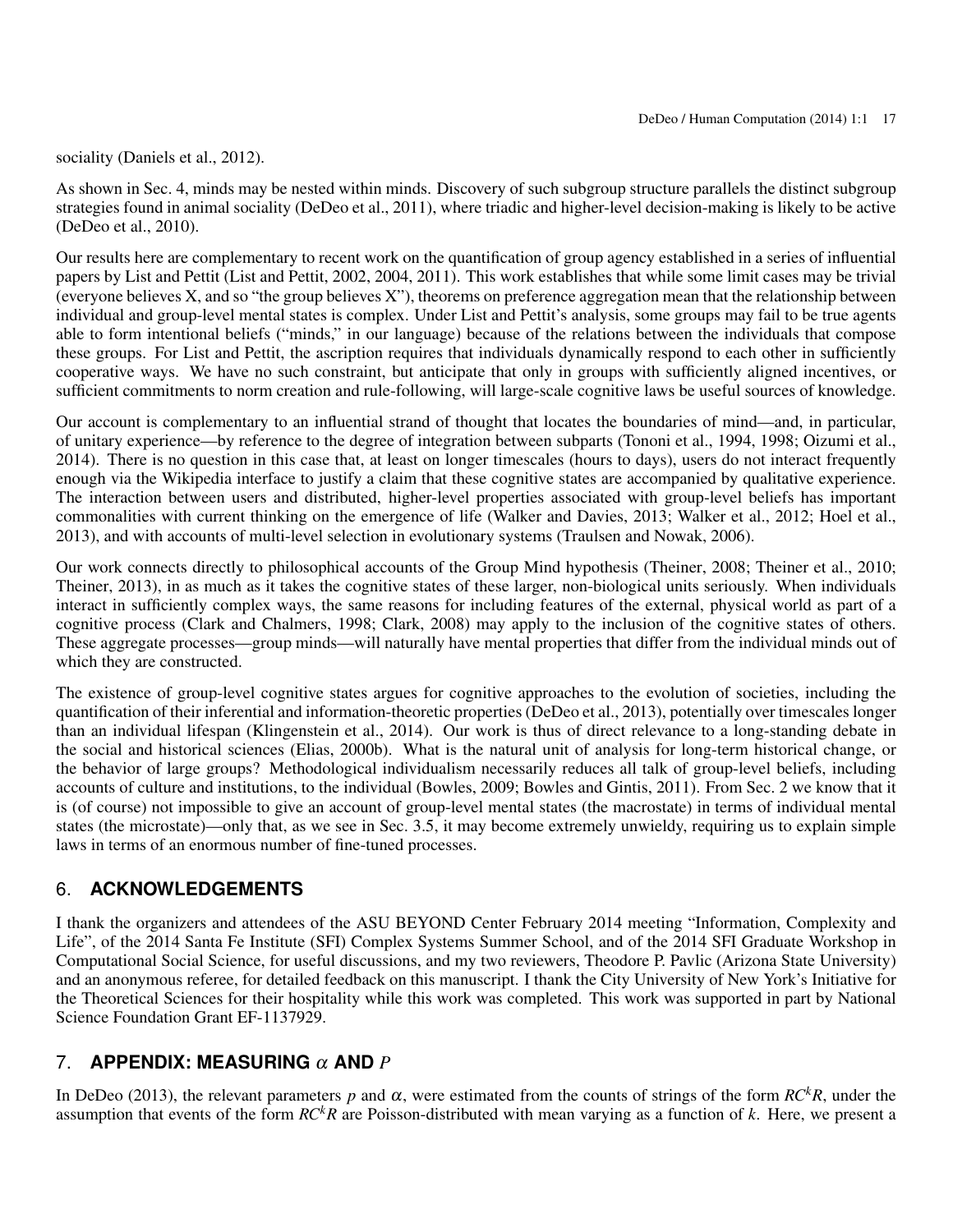sociality [\(Daniels et al., 2012\)](#page-15-19).

As shown in Sec. [4,](#page-9-0) minds may be nested within minds. Discovery of such subgroup structure parallels the distinct subgroup strategies found in animal sociality [\(DeDeo et al., 2011\)](#page-15-20), where triadic and higher-level decision-making is likely to be active [\(DeDeo et al., 2010\)](#page-15-21).

Our results here are complementary to recent work on the quantification of group agency established in a series of influential papers by List and Pettit [\(List and Pettit, 2002,](#page-16-11) [2004,](#page-16-12) [2011\)](#page-16-13). This work establishes that while some limit cases may be trivial (everyone believes X, and so "the group believes X"), theorems on preference aggregation mean that the relationship between individual and group-level mental states is complex. Under List and Pettit's analysis, some groups may fail to be true agents able to form intentional beliefs ("minds," in our language) because of the relations between the individuals that compose these groups. For List and Pettit, the ascription requires that individuals dynamically respond to each other in sufficiently cooperative ways. We have no such constraint, but anticipate that only in groups with sufficiently aligned incentives, or sufficient commitments to norm creation and rule-following, will large-scale cognitive laws be useful sources of knowledge.

Our account is complementary to an influential strand of thought that locates the boundaries of mind—and, in particular, of unitary experience—by reference to the degree of integration between subparts [\(Tononi et al., 1994,](#page-16-14) [1998;](#page-16-15) [Oizumi et al.,](#page-16-16) [2014\)](#page-16-16). There is no question in this case that, at least on longer timescales (hours to days), users do not interact frequently enough via the Wikipedia interface to justify a claim that these cognitive states are accompanied by qualitative experience. The interaction between users and distributed, higher-level properties associated with group-level beliefs has important commonalities with current thinking on the emergence of life [\(Walker and Davies, 2013;](#page-16-17) [Walker et al., 2012;](#page-16-18) [Hoel et al.,](#page-15-22) [2013\)](#page-15-22), and with accounts of multi-level selection in evolutionary systems [\(Traulsen and Nowak, 2006\)](#page-16-19).

Our work connects directly to philosophical accounts of the Group Mind hypothesis [\(Theiner, 2008;](#page-16-20) [Theiner et al., 2010;](#page-16-21) [Theiner, 2013\)](#page-16-22), in as much as it takes the cognitive states of these larger, non-biological units seriously. When individuals interact in sufficiently complex ways, the same reasons for including features of the external, physical world as part of a cognitive process [\(Clark and Chalmers, 1998;](#page-15-23) [Clark, 2008\)](#page-15-24) may apply to the inclusion of the cognitive states of others. These aggregate processes—group minds—will naturally have mental properties that differ from the individual minds out of which they are constructed.

The existence of group-level cognitive states argues for cognitive approaches to the evolution of societies, including the quantification of their inferential and information-theoretic properties [\(DeDeo et al., 2013\)](#page-15-25), potentially over timescales longer than an individual lifespan [\(Klingenstein et al., 2014\)](#page-15-26). Our work is thus of direct relevance to a long-standing debate in the social and historical sciences [\(Elias, 2000b\)](#page-15-27). What is the natural unit of analysis for long-term historical change, or the behavior of large groups? Methodological individualism necessarily reduces all talk of group-level beliefs, including accounts of culture and institutions, to the individual [\(Bowles, 2009;](#page-15-28) [Bowles and Gintis, 2011\)](#page-15-15). From Sec. [2](#page-1-0) we know that it is (of course) not impossible to give an account of group-level mental states (the macrostate) in terms of individual mental states (the microstate)—only that, as we see in Sec. [3.5,](#page-8-3) it may become extremely unwieldy, requiring us to explain simple laws in terms of an enormous number of fine-tuned processes.

## 6. **ACKNOWLEDGEMENTS**

I thank the organizers and attendees of the ASU BEYOND Center February 2014 meeting "Information, Complexity and Life", of the 2014 Santa Fe Institute (SFI) Complex Systems Summer School, and of the 2014 SFI Graduate Workshop in Computational Social Science, for useful discussions, and my two reviewers, Theodore P. Pavlic (Arizona State University) and an anonymous referee, for detailed feedback on this manuscript. I thank the City University of New York's Initiative for the Theoretical Sciences for their hospitality while this work was completed. This work was supported in part by National Science Foundation Grant EF-1137929.

## 7. **APPENDIX: MEASURING** α **AND** *P*

In [DeDeo](#page-15-3) [\(2013\)](#page-15-3), the relevant parameters *p* and *α*, were estimated from the counts of strings of the form *RC<sup>k</sup>R*, under the assumption that events of the form *RCkR* are Poisson-distributed with mean varying as a function of *k*. Here, we present a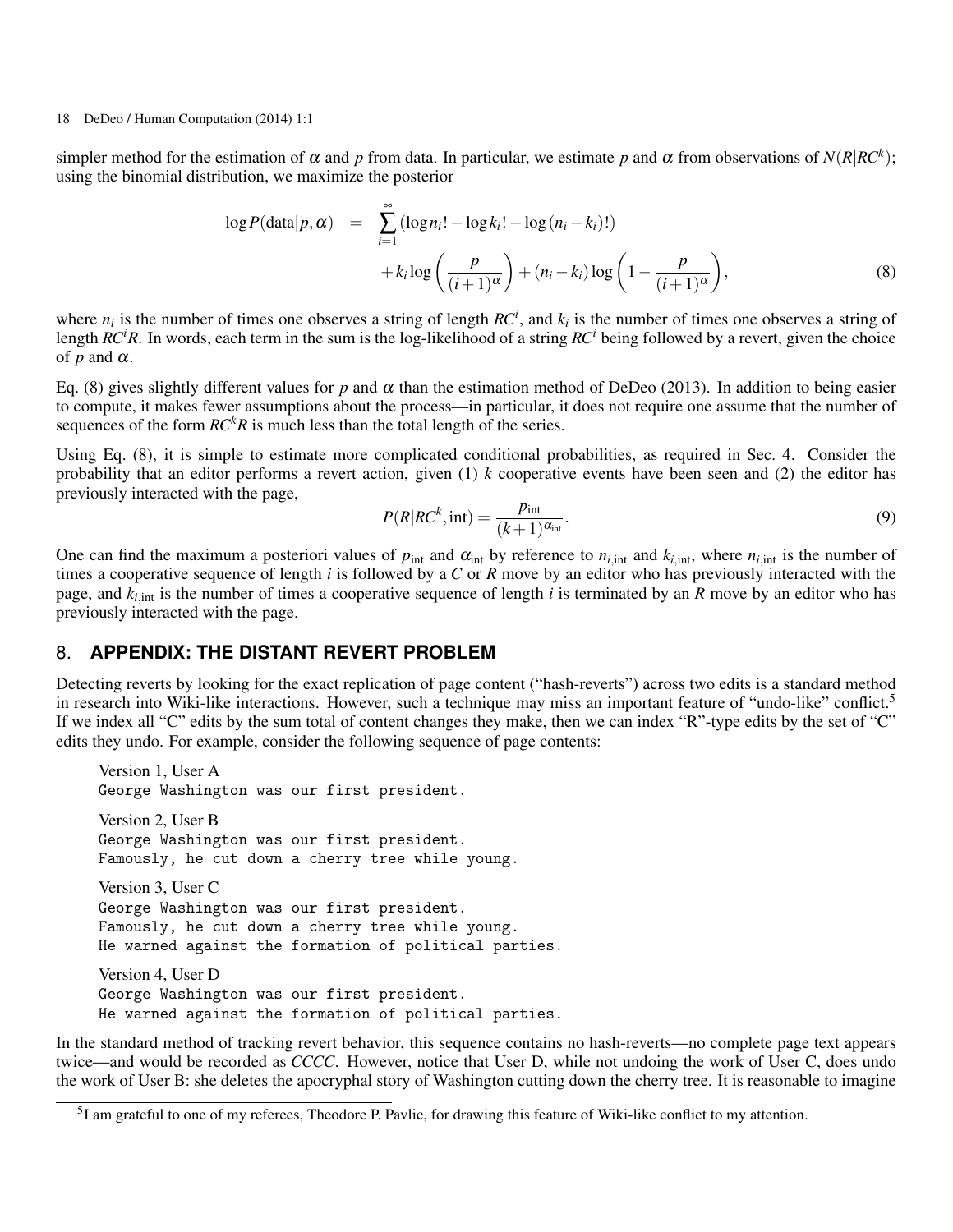simpler method for the estimation of  $\alpha$  and  $p$  from data. In particular, we estimate  $p$  and  $\alpha$  from observations of  $N(R|RC^k)$ ; using the binomial distribution, we maximize the posterior

<span id="page-13-0"></span>
$$
\log P(\text{data}|p,\alpha) = \sum_{i=1}^{\infty} (\log n_i! - \log k_i! - \log (n_i - k_i)!)
$$

$$
+ k_i \log \left(\frac{p}{(i+1)^{\alpha}}\right) + (n_i - k_i) \log \left(1 - \frac{p}{(i+1)^{\alpha}}\right), \tag{8}
$$

where  $n_i$  is the number of times one observes a string of length  $RC^i$ , and  $k_i$  is the number of times one observes a string of length *RCiR*. In words, each term in the sum is the log-likelihood of a string *RC<sup>i</sup>* being followed by a revert, given the choice of  $p$  and  $\alpha$ .

Eq. [\(8\)](#page-13-0) gives slightly different values for *p* and α than the estimation method of [DeDeo](#page-15-3) [\(2013\)](#page-15-3). In addition to being easier to compute, it makes fewer assumptions about the process—in particular, it does not require one assume that the number of sequences of the form  $RC<sup>k</sup>R$  is much less than the total length of the series.

Using Eq. [\(8\),](#page-13-0) it is simple to estimate more complicated conditional probabilities, as required in Sec. [4.](#page-9-0) Consider the probability that an editor performs a revert action, given (1) *k* cooperative events have been seen and (2) the editor has previously interacted with the page,

$$
P(R|RC^k, \text{int}) = \frac{p_{\text{int}}}{(k+1)^{\alpha_{\text{int}}}}.
$$
\n(9)

One can find the maximum a posteriori values of  $p_{int}$  and  $\alpha_{int}$  by reference to  $n_{i,int}$  and  $k_{i,int}$ , where  $n_{i,int}$  is the number of times a cooperative sequence of length *i* is followed by a *C* or *R* move by an editor who has previously interacted with the page, and  $k_{i, \text{int}}$  is the number of times a cooperative sequence of length *i* is terminated by an *R* move by an editor who has previously interacted with the page.

## 8. **APPENDIX: THE DISTANT REVERT PROBLEM**

Detecting reverts by looking for the exact replication of page content ("hash-reverts") across two edits is a standard method in research into Wiki-like interactions. However, such a technique may miss an important feature of "undo-like" conflict.<sup>[5](#page-13-1)</sup> If we index all "C" edits by the sum total of content changes they make, then we can index "R"-type edits by the set of "C" edits they undo. For example, consider the following sequence of page contents:

Version 1, User A George Washington was our first president. Version 2, User B George Washington was our first president. Famously, he cut down a cherry tree while young. Version 3, User C George Washington was our first president. Famously, he cut down a cherry tree while young. He warned against the formation of political parties. Version 4, User D George Washington was our first president.

He warned against the formation of political parties.

In the standard method of tracking revert behavior, this sequence contains no hash-reverts—no complete page text appears twice—and would be recorded as *CCCC*. However, notice that User D, while not undoing the work of User C, does undo the work of User B: she deletes the apocryphal story of Washington cutting down the cherry tree. It is reasonable to imagine

<span id="page-13-1"></span><sup>&</sup>lt;sup>5</sup>I am grateful to one of my referees, Theodore P. Pavlic, for drawing this feature of Wiki-like conflict to my attention.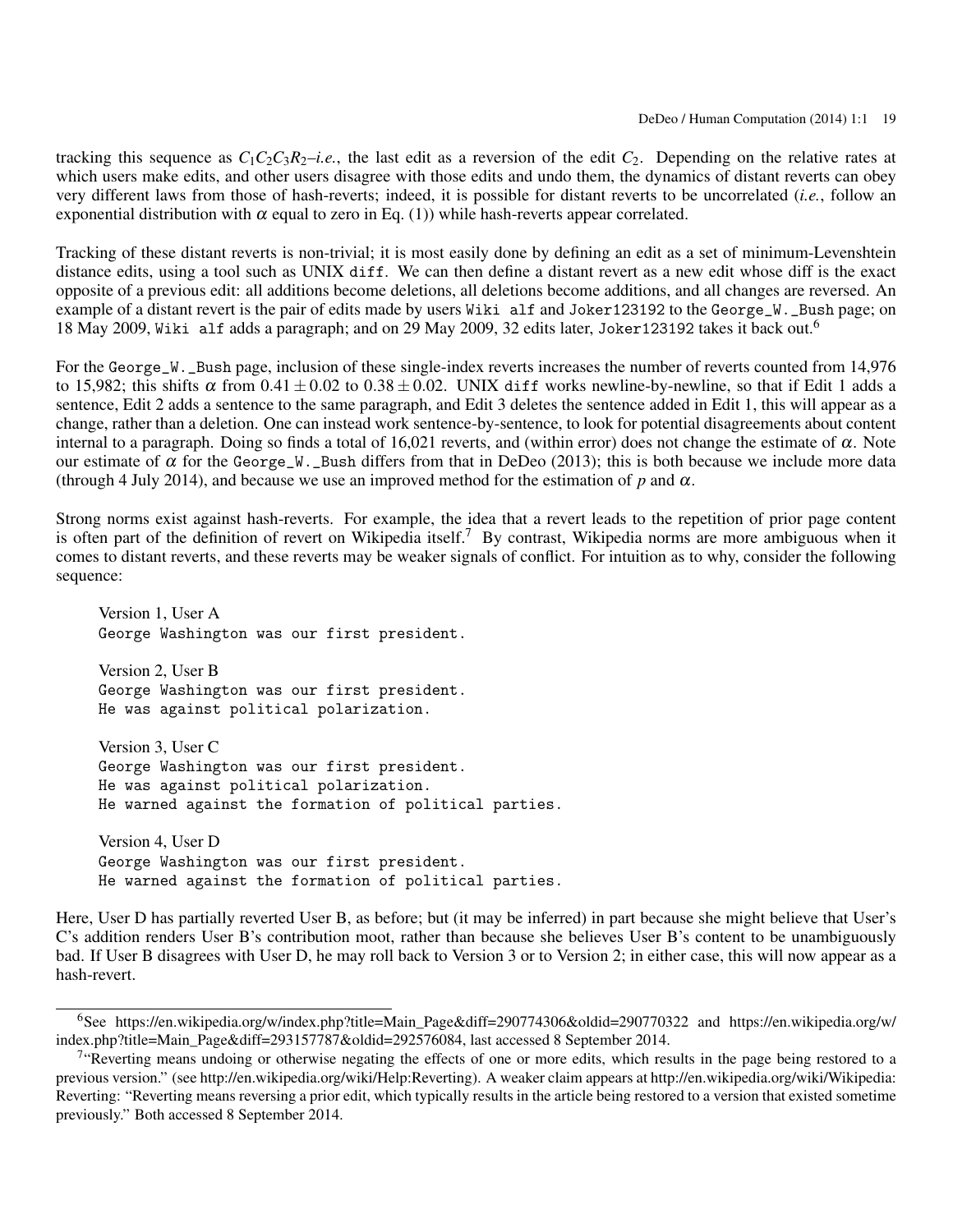tracking this sequence as  $C_1C_2C_3R_2-i.e.$ , the last edit as a reversion of the edit  $C_2$ . Depending on the relative rates at which users make edits, and other users disagree with those edits and undo them, the dynamics of distant reverts can obey very different laws from those of hash-reverts; indeed, it is possible for distant reverts to be uncorrelated (*i.e.*, follow an exponential distribution with  $\alpha$  equal to zero in Eq. [\(1\)\)](#page-4-2) while hash-reverts appear correlated.

Tracking of these distant reverts is non-trivial; it is most easily done by defining an edit as a set of minimum-Levenshtein distance edits, using a tool such as UNIX diff. We can then define a distant revert as a new edit whose diff is the exact opposite of a previous edit: all additions become deletions, all deletions become additions, and all changes are reversed. An example of a distant revert is the pair of edits made by users Wiki alf and Joker123192 to the George\_W.\_Bush page; on 18 May 2009, Wiki alf adds a paragraph; and on 29 May 2009, 32 edits later, Joker 123192 takes it back out.<sup>[6](#page-14-0)</sup>

For the George\_W.\_Bush page, inclusion of these single-index reverts increases the number of reverts counted from 14,976 to 15,982; this shifts  $\alpha$  from 0.41  $\pm$  0.02 to 0.38  $\pm$  0.02. UNIX diff works newline-by-newline, so that if Edit 1 adds a sentence, Edit 2 adds a sentence to the same paragraph, and Edit 3 deletes the sentence added in Edit 1, this will appear as a change, rather than a deletion. One can instead work sentence-by-sentence, to look for potential disagreements about content internal to a paragraph. Doing so finds a total of 16,021 reverts, and (within error) does not change the estimate of  $\alpha$ . Note our estimate of  $\alpha$  for the George\_W.\_Bush differs from that in [DeDeo](#page-15-3) [\(2013\)](#page-15-3); this is both because we include more data (through 4 July 2014), and because we use an improved method for the estimation of  $p$  and  $\alpha$ .

Strong norms exist against hash-reverts. For example, the idea that a revert leads to the repetition of prior page content is often part of the definition of revert on Wikipedia itself.<sup>[7](#page-14-1)</sup> By contrast, Wikipedia norms are more ambiguous when it comes to distant reverts, and these reverts may be weaker signals of conflict. For intuition as to why, consider the following sequence:

Version 1, User A George Washington was our first president.

Version 2, User B George Washington was our first president. He was against political polarization.

Version 3, User C George Washington was our first president. He was against political polarization. He warned against the formation of political parties.

Version 4, User D George Washington was our first president. He warned against the formation of political parties.

Here, User D has partially reverted User B, as before; but (it may be inferred) in part because she might believe that User's C's addition renders User B's contribution moot, rather than because she believes User B's content to be unambiguously bad. If User B disagrees with User D, he may roll back to Version 3 or to Version 2; in either case, this will now appear as a hash-revert.

<span id="page-14-0"></span><sup>6</sup>See [https://en.wikipedia.org/w/index.php?title=Main\\_Page&diff=290774306&oldid=290770322](https://en.wikipedia.org/w/index.php?title=Main_Page&diff=290774306&oldid=290770322) and [https://en.wikipedia.org/w/](https://en.wikipedia.org/w/index.php?title=Main_Page&diff=293157787&oldid=292576084) [index.php?title=Main\\_Page&diff=293157787&oldid=292576084,](https://en.wikipedia.org/w/index.php?title=Main_Page&diff=293157787&oldid=292576084) last accessed 8 September 2014.

<span id="page-14-1"></span><sup>&</sup>lt;sup>7</sup> Reverting means undoing or otherwise negating the effects of one or more edits, which results in the page being restored to a previous version." (see [http://en.wikipedia.org/wiki/Help:Reverting\)](http://en.wikipedia.org/wiki/Help:Reverting). A weaker claim appears at [http://en.wikipedia.org/wiki/Wikipedia:](http://en.wikipedia.org/wiki/Wikipedia:Reverting) [Reverting:](http://en.wikipedia.org/wiki/Wikipedia:Reverting) "Reverting means reversing a prior edit, which typically results in the article being restored to a version that existed sometime previously." Both accessed 8 September 2014.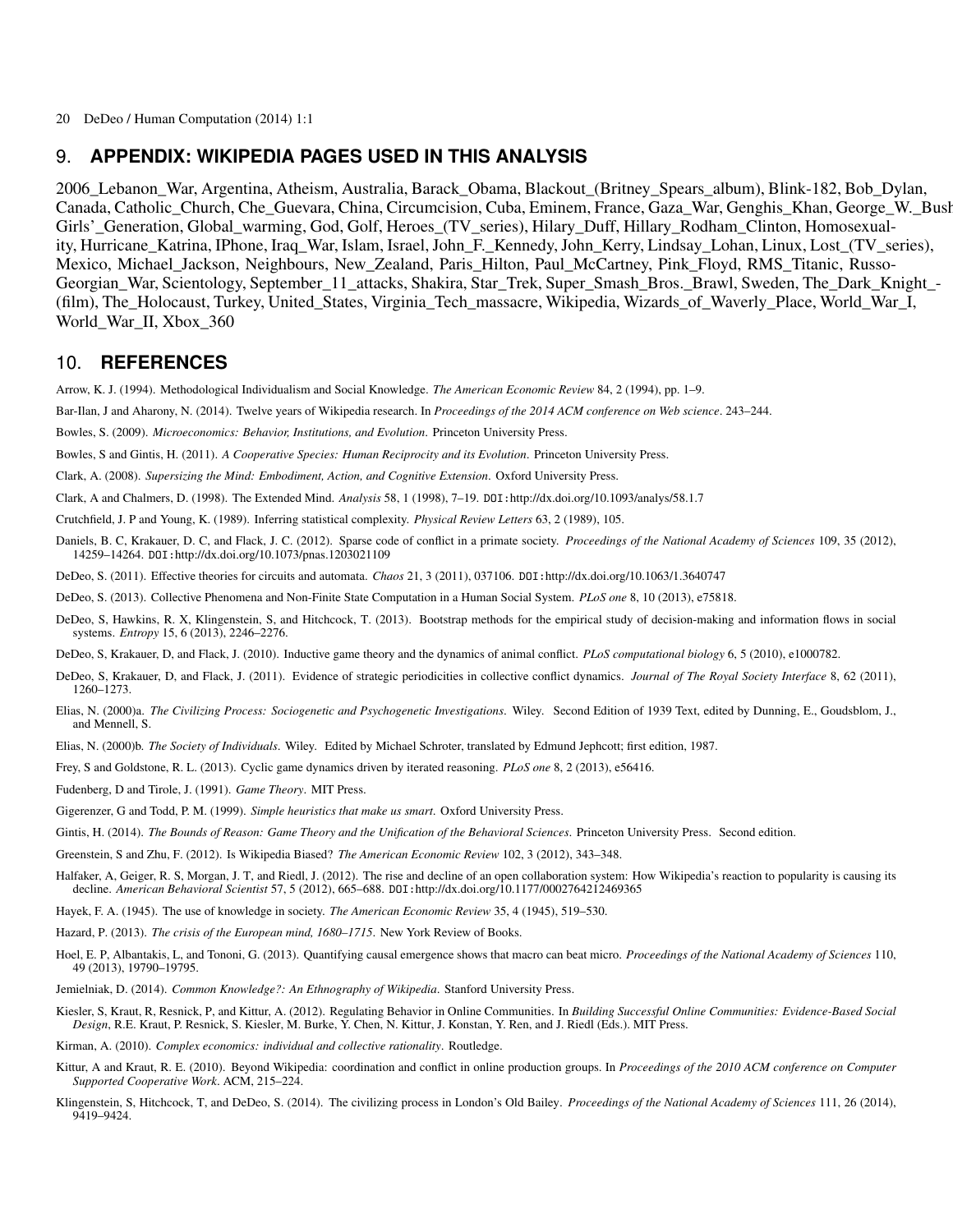## 9. **APPENDIX: WIKIPEDIA PAGES USED IN THIS ANALYSIS**

2006\_Lebanon\_War, Argentina, Atheism, Australia, Barack\_Obama, Blackout\_(Britney\_Spears\_album), Blink-182, Bob\_Dylan, Canada, Catholic\_Church, Che\_Guevara, China, Circumcision, Cuba, Eminem, France, Gaza\_War, Genghis\_Khan, George\_W.\_Bush, Girls'\_Generation, Global\_warming, God, Golf, Heroes\_(TV\_series), Hilary\_Duff, Hillary\_Rodham\_Clinton, Homosexuality, Hurricane Katrina, IPhone, Iraq War, Islam, Israel, John F. Kennedy, John Kerry, Lindsay Lohan, Linux, Lost (TV series), Mexico, Michael\_Jackson, Neighbours, New\_Zealand, Paris\_Hilton, Paul\_McCartney, Pink\_Floyd, RMS\_Titanic, Russo-Georgian\_War, Scientology, September\_11\_attacks, Shakira, Star\_Trek, Super\_Smash\_Bros.\_Brawl, Sweden, The\_Dark\_Knight\_-(film), The\_Holocaust, Turkey, United\_States, Virginia\_Tech\_massacre, Wikipedia, Wizards\_of\_Waverly\_Place, World\_War\_I, World War II, Xbox 360

#### 10. **REFERENCES**

<span id="page-15-0"></span>Arrow, K. J. (1994). Methodological Individualism and Social Knowledge. *The American Economic Review* 84, 2 (1994), pp. 1–9.

<span id="page-15-6"></span>Bar-Ilan, J and Aharony, N. (2014). Twelve years of Wikipedia research. In *Proceedings of the 2014 ACM conference on Web science*. 243–244.

<span id="page-15-28"></span>Bowles, S. (2009). *Microeconomics: Behavior, Institutions, and Evolution*. Princeton University Press.

<span id="page-15-15"></span>Bowles, S and Gintis, H. (2011). *A Cooperative Species: Human Reciprocity and its Evolution*. Princeton University Press.

<span id="page-15-24"></span>Clark, A. (2008). *Supersizing the Mind: Embodiment, Action, and Cognitive Extension*. Oxford University Press.

<span id="page-15-23"></span>Clark, A and Chalmers, D. (1998). The Extended Mind. *Analysis* 58, 1 (1998), 7–19. DOI:<http://dx.doi.org/10.1093/analys/58.1.7>

<span id="page-15-4"></span>Crutchfield, J. P and Young, K. (1989). Inferring statistical complexity. *Physical Review Letters* 63, 2 (1989), 105.

<span id="page-15-19"></span>Daniels, B. C, Krakauer, D. C, and Flack, J. C. (2012). Sparse code of conflict in a primate society. *Proceedings of the National Academy of Sciences* 109, 35 (2012), 14259–14264. DOI:<http://dx.doi.org/10.1073/pnas.1203021109>

<span id="page-15-5"></span>DeDeo, S. (2011). Effective theories for circuits and automata. *Chaos* 21, 3 (2011), 037106. DOI:<http://dx.doi.org/10.1063/1.3640747>

<span id="page-15-3"></span>DeDeo, S. (2013). Collective Phenomena and Non-Finite State Computation in a Human Social System. *PLoS one* 8, 10 (2013), e75818.

<span id="page-15-25"></span>DeDeo, S, Hawkins, R. X, Klingenstein, S, and Hitchcock, T. (2013). Bootstrap methods for the empirical study of decision-making and information flows in social systems. *Entropy* 15, 6 (2013), 2246–2276.

<span id="page-15-21"></span>DeDeo, S, Krakauer, D, and Flack, J. (2010). Inductive game theory and the dynamics of animal conflict. *PLoS computational biology* 6, 5 (2010), e1000782.

- <span id="page-15-20"></span>DeDeo, S, Krakauer, D, and Flack, J. (2011). Evidence of strategic periodicities in collective conflict dynamics. *Journal of The Royal Society Interface* 8, 62 (2011), 1260–1273.
- <span id="page-15-2"></span>Elias, N. (2000)a. *The Civilizing Process: Sociogenetic and Psychogenetic Investigations*. Wiley. Second Edition of 1939 Text, edited by Dunning, E., Goudsblom, J., and Mennell, S.

<span id="page-15-27"></span>Elias, N. (2000)b. *The Society of Individuals*. Wiley. Edited by Michael Schroter, translated by Edmund Jephcott; first edition, 1987.

<span id="page-15-16"></span>Frey, S and Goldstone, R. L. (2013). Cyclic game dynamics driven by iterated reasoning. *PLoS one* 8, 2 (2013), e56416.

<span id="page-15-12"></span>Fudenberg, D and Tirole, J. (1991). *Game Theory*. MIT Press.

- <span id="page-15-18"></span>Gigerenzer, G and Todd, P. M. (1999). *Simple heuristics that make us smart*. Oxford University Press.
- <span id="page-15-17"></span>Gintis, H. (2014). *The Bounds of Reason: Game Theory and the Unification of the Behavioral Sciences*. Princeton University Press. Second edition.

<span id="page-15-9"></span>Greenstein, S and Zhu, F. (2012). Is Wikipedia Biased? *The American Economic Review* 102, 3 (2012), 343–348.

<span id="page-15-10"></span>Halfaker, A, Geiger, R. S, Morgan, J. T, and Riedl, J. (2012). The rise and decline of an open collaboration system: How Wikipedia's reaction to popularity is causing its decline. *American Behavioral Scientist* 57, 5 (2012), 665–688. DOI:<http://dx.doi.org/10.1177/0002764212469365>

<span id="page-15-13"></span>Hayek, F. A. (1945). The use of knowledge in society. *The American Economic Review* 35, 4 (1945), 519–530.

<span id="page-15-14"></span>Hazard, P. (2013). *The crisis of the European mind, 1680–1715*. New York Review of Books.

<span id="page-15-22"></span>Hoel, E. P, Albantakis, L, and Tononi, G. (2013). Quantifying causal emergence shows that macro can beat micro. *Proceedings of the National Academy of Sciences* 110, 49 (2013), 19790–19795.

<span id="page-15-7"></span>Jemielniak, D. (2014). *Common Knowledge?: An Ethnography of Wikipedia*. Stanford University Press.

<span id="page-15-8"></span>Kiesler, S, Kraut, R, Resnick, P, and Kittur, A. (2012). Regulating Behavior in Online Communities. In *Building Successful Online Communities: Evidence-Based Social Design*, R.E. Kraut, P. Resnick, S. Kiesler, M. Burke, Y. Chen, N. Kittur, J. Konstan, Y. Ren, and J. Riedl (Eds.). MIT Press.

<span id="page-15-1"></span>Kirman, A. (2010). *Complex economics: individual and collective rationality*. Routledge.

- <span id="page-15-11"></span>Kittur, A and Kraut, R. E. (2010). Beyond Wikipedia: coordination and conflict in online production groups. In *Proceedings of the 2010 ACM conference on Computer Supported Cooperative Work*. ACM, 215–224.
- <span id="page-15-26"></span>Klingenstein, S, Hitchcock, T, and DeDeo, S. (2014). The civilizing process in London's Old Bailey. *Proceedings of the National Academy of Sciences* 111, 26 (2014), 9419–9424.